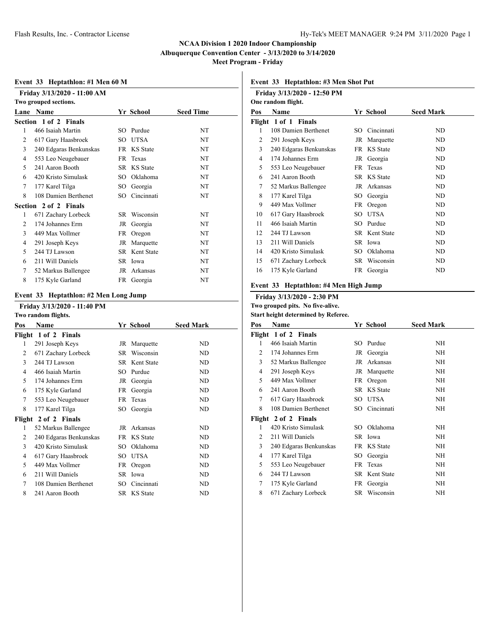**Meet Program - Friday**

### **Event 33 Heptathlon: #1 Men 60 M**

|      | Friday 3/13/2020 - 11:00 AM |      |                      |                  |
|------|-----------------------------|------|----------------------|------------------|
|      | Two grouped sections.       |      |                      |                  |
| Lane | Name                        |      | Yr School            | <b>Seed Time</b> |
|      | Section 1 of 2 Finals       |      |                      |                  |
| 1    | 466 Isaiah Martin           |      | SO Purdue            | NT               |
| 2    | 617 Gary Haasbroek          |      | SO UTSA              | NT               |
| 3    | 240 Edgaras Benkunskas      |      | FR KS State          | NT               |
| 4    | 553 Leo Neugebauer          | FR - | Texas                | NT               |
| 5    | 241 Aaron Booth             |      | SR KS State          | NT               |
| 6    | 420 Kristo Simulask         | SO.  | Oklahoma             | NT               |
| 7    | 177 Karel Tilga             | SO.  | Georgia              | NT               |
| 8    | 108 Damien Berthenet        | SO.  | Cincinnati           | NT               |
|      | Section 2 of 2 Finals       |      |                      |                  |
| 1    | 671 Zachary Lorbeck         | SR – | Wisconsin            | NT               |
| 2    | 174 Johannes Erm            | JR   | Georgia              | NT               |
| 3    | 449 Max Vollmer             | FR   | Oregon               | NT               |
| 4    | 291 Joseph Keys             | JR   | Marquette            | NT               |
| 5    | 244 TJ Lawson               |      | <b>SR</b> Kent State | NT               |
| 6    | 211 Will Daniels            |      | SR Iowa              | NT               |
| 7    | 52 Markus Ballengee         | JR   | Arkansas             | NT               |
| 8    | 175 Kyle Garland            |      | FR Georgia           | NT               |
|      |                             |      |                      |                  |

#### **Event 33 Heptathlon: #2 Men Long Jump**

#### **Friday 3/13/2020 - 11:40 PM Two random flights.**

|     | Two random mights.     |     |               |                  |
|-----|------------------------|-----|---------------|------------------|
| Pos | Name                   |     | Yr School     | <b>Seed Mark</b> |
|     | Flight 1 of 2 Finals   |     |               |                  |
| 1   | 291 Joseph Keys        |     | JR Marquette  | ND               |
| 2   | 671 Zachary Lorbeck    |     | SR Wisconsin  | ND               |
| 3   | 244 TJ Lawson          |     | SR Kent State | ND               |
| 4   | 466 Isaiah Martin      | SO. | Purdue        | ND               |
| 5   | 174 Johannes Erm       | JR  | Georgia       | ND               |
| 6   | 175 Kyle Garland       | FR  | Georgia       | ND               |
| 7   | 553 Leo Neugebauer     | FR. | Texas         | ND               |
| 8   | 177 Karel Tilga        | SO. | Georgia       | ND               |
|     | Flight 2 of 2 Finals   |     |               |                  |
| 1   | 52 Markus Ballengee    |     | JR Arkansas   | ND               |
| 2   | 240 Edgaras Benkunskas | FR. | KS State      | ND               |
| 3   | 420 Kristo Simulask    | SO  | Oklahoma      | ND               |
| 4   | 617 Gary Haasbroek     | SO. | UTSA          | ND               |
| 5   | 449 Max Vollmer        |     | FR Oregon     | ND               |
| 6   | 211 Will Daniels       |     | SR Iowa       | ND               |
| 7   | 108 Damien Berthenet   | SO. | Cincinnati    | ND               |
| 8   | 241 Aaron Booth        |     | SR KS State   | ND               |

### **Event 33 Heptathlon: #3 Men Shot Put**

|     | Friday 3/13/2020 - 12:50 PM |     |                 |                  |
|-----|-----------------------------|-----|-----------------|------------------|
|     | One random flight.          |     |                 |                  |
| Pos | Name                        |     | Yr School       | <b>Seed Mark</b> |
|     | Flight 1 of 1 Finals        |     |                 |                  |
| 1   | 108 Damien Berthenet        |     | SO Cincinnati   | ND.              |
| 2   | 291 Joseph Keys             | JR  | Marquette       | ND               |
| 3   | 240 Edgaras Benkunskas      | FR. | <b>KS</b> State | ND               |
| 4   | 174 Johannes Erm            | JR  | Georgia         | ND               |
| 5   | 553 Leo Neugebauer          |     | FR Texas        | ND               |
| 6   | 241 Aaron Booth             |     | SR KS State     | ND               |
| 7   | 52 Markus Ballengee         | JR  | Arkansas        | ND               |
| 8   | 177 Karel Tilga             | SО  | Georgia         | ND               |
| 9   | 449 Max Vollmer             | FR  | Oregon          | ND               |
| 10  | 617 Gary Haasbroek          | SO. | <b>UTSA</b>     | ND               |
| 11  | 466 Isaiah Martin           | SO. | Purdue          | ND               |
| 12. | 244 TJ Lawson               | SR. | Kent State      | ND               |
| 13  | 211 Will Daniels            |     | SR Iowa         | ND               |
| 14  | 420 Kristo Simulask         | SO. | Oklahoma        | ND               |
| 15  | 671 Zachary Lorbeck         | SR  | Wisconsin       | ND               |
| 16  | 175 Kyle Garland            | FR  | Georgia         | ND               |
|     |                             |     |                 |                  |

#### **Event 33 Heptathlon: #4 Men High Jump**

#### **Friday 3/13/2020 - 2:30 PM Two grouped pits. No five-alive.**

**Start height determined by Referee.**

| Pos | Name                   | Yr School     | <b>Seed Mark</b> |
|-----|------------------------|---------------|------------------|
|     | Flight 1 of 2 Finals   |               |                  |
| 1   | 466 Isaiah Martin      | SO Purdue     | NH               |
| 2   | 174 Johannes Erm       | JR Georgia    | NH               |
| 3   | 52 Markus Ballengee    | JR Arkansas   | NH               |
| 4   | 291 Joseph Keys        | JR Marquette  | NH               |
| 5   | 449 Max Vollmer        | FR Oregon     | NH               |
| 6   | 241 Aaron Booth        | SR KS State   | NH               |
| 7   | 617 Gary Haasbroek     | SO UTSA       | NH               |
| 8   | 108 Damien Berthenet   | SO Cincinnati | NH               |
|     | Flight 2 of 2 Finals   |               |                  |
| 1   | 420 Kristo Simulask    | SO Oklahoma   | NH               |
| 2   | 211 Will Daniels       | SR Iowa       | NH               |
| 3   | 240 Edgaras Benkunskas | FR KS State   | NH               |
| 4   | 177 Karel Tilga        | SO Georgia    | NH               |
| 5   | 553 Leo Neugebauer     | FR Texas      | NH               |
| 6   | 244 TJ Lawson          | SR Kent State | NH               |
| 7   | 175 Kyle Garland       | FR Georgia    | NH               |
| 8   | 671 Zachary Lorbeck    | SR Wisconsin  | NH               |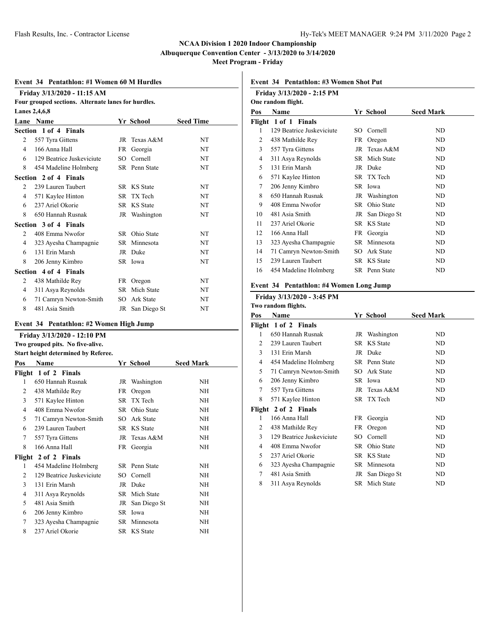**Meet Program - Friday**

#### **Event 34 Pentathlon: #1 Women 60 M Hurdles**

|                | Friday 3/13/2020 - 11:15 AM                         |    |               |                  |
|----------------|-----------------------------------------------------|----|---------------|------------------|
|                | Four grouped sections. Alternate lanes for hurdles. |    |               |                  |
|                | Lanes 2,4,6,8                                       |    |               |                  |
|                | Lane Name                                           |    | Yr School     | <b>Seed Time</b> |
|                | Section 1 of 4 Finals                               |    |               |                  |
| 2              | 557 Tyra Gittens                                    |    | JR Texas A&M  | NT               |
| 4              | 166 Anna Hall                                       |    | FR Georgia    | NT               |
| 6              | 129 Beatrice Juskeviciute                           |    | SO Cornell    | NT               |
| 8              | 454 Madeline Holmberg                               |    | SR Penn State | NT               |
|                | Section 2 of 4 Finals                               |    |               |                  |
| $\mathfrak{D}$ | 239 Lauren Taubert                                  |    | SR KS State   | <b>NT</b>        |
| 4              | 571 Kaylee Hinton                                   |    | SR TX Tech    | <b>NT</b>        |
| 6              | 237 Ariel Okorie                                    |    | SR KS State   | <b>NT</b>        |
| 8              | 650 Hannah Rusnak                                   |    | JR Washington | NT               |
|                | Section 3 of 4 Finals                               |    |               |                  |
| 2              | 408 Emma Nwofor                                     |    | SR Ohio State | <b>NT</b>        |
| 4              | 323 Ayesha Champagnie                               |    | SR Minnesota  | NT               |
| 6              | 131 Erin Marsh                                      |    | JR Duke       | <b>NT</b>        |
| 8              | 206 Jenny Kimbro                                    |    | SR Iowa       | NT               |
|                | Section 4 of 4 Finals                               |    |               |                  |
| 2              | 438 Mathilde Rey                                    |    | FR Oregon     | NT               |
| 4              | 311 Asya Reynolds                                   |    | SR Mich State | NT               |
| 6              | 71 Camryn Newton-Smith                              |    | SO Ark State  | NT               |
| 8              | 481 Asia Smith                                      | JR | San Diego St  | NT               |

#### **Event 34 Pentathlon: #2 Women High Jump**

|                | Friday 3/13/2020 - 12:10 PM                |      |                           |                  |
|----------------|--------------------------------------------|------|---------------------------|------------------|
|                | Two grouped pits. No five-alive.           |      |                           |                  |
|                | <b>Start height determined by Referee.</b> |      |                           |                  |
| Pos            | <b>Name</b>                                |      | Yr School                 | <b>Seed Mark</b> |
|                | Flight 1 of 2 Finals                       |      |                           |                  |
| 1              | 650 Hannah Rusnak                          |      | JR Washington             | NH               |
| 2              | 438 Mathilde Rey                           | FR - | Oregon                    | <b>NH</b>        |
| 3              | 571 Kaylee Hinton                          | SR.  | TX Tech                   | <b>NH</b>        |
| 4              | 408 Emma Nwofor                            |      | SR Ohio State             | <b>NH</b>        |
| 5              | 71 Camryn Newton-Smith                     | SO.  | Ark State                 | <b>NH</b>        |
| 6              | 239 Lauren Taubert                         |      | SR KS State               | <b>NH</b>        |
| 7              | 557 Tyra Gittens                           |      | $\overline{J}R$ Texas A&M | <b>NH</b>        |
| 8              | 166 Anna Hall                              |      | FR Georgia                | <b>NH</b>        |
|                | Flight 2 of 2 Finals                       |      |                           |                  |
| 1              | 454 Madeline Holmberg                      |      | SR Penn State             | NH               |
| $\mathfrak{D}$ | 129 Beatrice Juskeviciute                  | SO.  | Cornell                   | <b>NH</b>        |
| 3              | 131 Erin Marsh                             |      | JR Duke                   | <b>NH</b>        |
| 4              | 311 Asya Reynolds                          |      | SR Mich State             | <b>NH</b>        |
| 5              | 481 Asia Smith                             | JR   | San Diego St              | <b>NH</b>        |
| 6              | 206 Jenny Kimbro                           | SR.  | Iowa                      | <b>NH</b>        |
| 7              | 323 Ayesha Champagnie                      |      | SR Minnesota              | <b>NH</b>        |
| 8              | 237 Ariel Okorie                           |      | SR KS State               | NH               |

**Event 34 Pentathlon: #3 Women Shot Put**

|     | Friday 3/13/2020 - 2:15 PM |     |                 |                  |
|-----|----------------------------|-----|-----------------|------------------|
|     | One random flight.         |     |                 |                  |
| Pos | <b>Name</b>                |     | Yr School       | <b>Seed Mark</b> |
|     | Flight 1 of 1 Finals       |     |                 |                  |
| 1   | 129 Beatrice Juskeviciute  | SO. | Cornell         | ND               |
| 2   | 438 Mathilde Rey           | FR  | Oregon          | ND               |
| 3   | 557 Tyra Gittens           |     | JR Texas A&M    | ND.              |
| 4   | 311 Asya Reynolds          |     | SR Mich State   | ND.              |
| 5   | 131 Erin Marsh             |     | JR Duke         | ND.              |
| 6   | 571 Kaylee Hinton          |     | SR TX Tech      | ND               |
| 7   | 206 Jenny Kimbro           |     | SR Iowa         | ND               |
| 8   | 650 Hannah Rusnak          |     | JR Washington   | ND               |
| 9   | 408 Emma Nwofor            | SR  | Ohio State      | ND.              |
| 10  | 481 Asia Smith             |     | JR San Diego St | ND               |
| 11  | 237 Ariel Okorie           | SR. | <b>KS</b> State | ND.              |
| 12  | 166 Anna Hall              | FR  | Georgia         | ND.              |
| 13  | 323 Ayesha Champagnie      |     | SR Minnesota    | ND.              |
| 14  | 71 Camryn Newton-Smith     | SO. | Ark State       | ND.              |
| 15  | 239 Lauren Taubert         |     | SR KS State     | ND               |
| 16  | 454 Madeline Holmberg      |     | SR Penn State   | ND               |
|     |                            |     |                 |                  |

## **Event 34 Pentathlon: #4 Women Long Jump**

#### **Friday 3/13/2020 - 3:45 PM**

|        | Two random flights.       |    |                 |                  |
|--------|---------------------------|----|-----------------|------------------|
| Pos    | Name                      |    | Yr School       | <b>Seed Mark</b> |
|        | Flight 1 of 2 Finals      |    |                 |                  |
| 1      | 650 Hannah Rusnak         |    | JR Washington   | ND               |
| 2      | 239 Lauren Taubert        |    | SR KS State     | ND               |
| 3      | 131 Erin Marsh            |    | JR Duke         | ND               |
| 4      | 454 Madeline Holmberg     |    | SR Penn State   | ND               |
| 5      | 71 Camryn Newton-Smith    |    | SO Ark State    | ND               |
| 6      | 206 Jenny Kimbro          |    | SR Iowa         | ND               |
| 7      | 557 Tyra Gittens          |    | JR Texas A&M    | ND               |
| 8      | 571 Kaylee Hinton         |    | SR TX Tech      | ND               |
| Flight | 2 of 2 Finals             |    |                 |                  |
| 1      | 166 Anna Hall             |    | FR Georgia      | ND               |
| 2      | 438 Mathilde Rey          |    | FR Oregon       | ND               |
| 3      | 129 Beatrice Juskeviciute |    | SO Cornell      | ND               |
| 4      | 408 Emma Nwofor           | SR | Ohio State      | ND               |
| 5      | 237 Ariel Okorie          |    | SR KS State     | ND               |
| 6      | 323 Ayesha Champagnie     |    | SR Minnesota    | ND               |
| 7      | 481 Asia Smith            |    | JR San Diego St | ND               |
| 8      | 311 Asya Reynolds         |    | SR Mich State   | ND               |
|        |                           |    |                 |                  |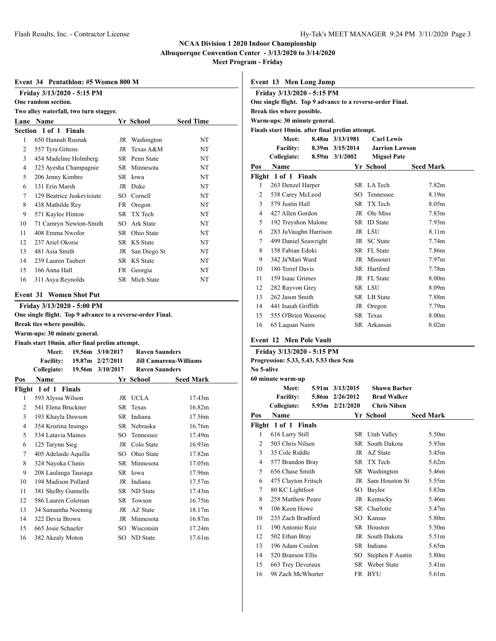**Albuquerque Convention Center - 3/13/2020 to 3/14/2020**

**Meet Program - Friday**

#### **Event 34 Pentathlon: #5 Women 800 M**

|      | Friday 3/13/2020 - 5:15 PM<br>One random section. |     |                 |                  |
|------|---------------------------------------------------|-----|-----------------|------------------|
|      | Two alley waterfall, two turn stagger.            |     |                 |                  |
| Lane | <b>Name</b>                                       |     | Yr School       | <b>Seed Time</b> |
|      | Section 1 of 1 Finals                             |     |                 |                  |
| 1    | 650 Hannah Rusnak                                 |     | JR Washington   | NT               |
| 2    | 557 Tyra Gittens                                  | JR  | Texas A&M       | NT               |
| 3    | 454 Madeline Holmberg                             | SR. | Penn State      | <b>NT</b>        |
| 4    | 323 Ayesha Champagnie                             | SR. | Minnesota       | <b>NT</b>        |
| 5    | 206 Jenny Kimbro                                  | SR. | Iowa            | <b>NT</b>        |
| 6    | 131 Erin Marsh                                    | JR  | Duke            | <b>NT</b>        |
| 7    | 129 Beatrice Juskeviciute                         | SO. | Cornell         | NT               |
| 8    | 438 Mathilde Rey                                  | FR. | Oregon          | <b>NT</b>        |
| 9    | 571 Kaylee Hinton                                 | SR. | TX Tech         | NT               |
| 10   | 71 Camryn Newton-Smith                            | SO. | Ark State       | <b>NT</b>        |
| 11   | 408 Emma Nwofor                                   | SR  | Ohio State      | <b>NT</b>        |
| 12   | 237 Ariel Okorie                                  | SR  | <b>KS</b> State | NT               |
| 13   | 481 Asia Smith                                    | JR  | San Diego St    | NT               |
| 14   | 239 Lauren Taubert                                | SR. | <b>KS</b> State | <b>NT</b>        |
| 15   | 166 Anna Hall                                     | FR  | Georgia         | <b>NT</b>        |
| 16   | 311 Asya Reynolds                                 | SR  | Mich State      | NT               |

# **Event 31 Women Shot Put**

**Friday 3/13/2020 - 5:00 PM One single flight. Top 9 advance to a reverse-order Final.**

**Break ties where possible.**

# **Warm-ups: 30 minute general.**

**Finals start 10min. after final prelim attempt.**

|                | Meet:                | 19.56m 3/10/2017 | <b>Raven Saunders</b> |                               |  |
|----------------|----------------------|------------------|-----------------------|-------------------------------|--|
|                | <b>Facility:</b>     | 19.87m 2/27/2011 |                       | <b>Jill Camarena-Williams</b> |  |
|                | Collegiate:          | 19.56m 3/10/2017 | <b>Raven Saunders</b> |                               |  |
| Pos            | <b>Name</b>          |                  | Yr School             | <b>Seed Mark</b>              |  |
| Flight         | 1 of 1 Finals        |                  |                       |                               |  |
| 1              | 593 Alyssa Wilson    | JR               | UCLA                  | 17.43m                        |  |
| 2              | 541 Elena Bruckner   | SR               | Texas                 | 16.82m                        |  |
| 3              | 193 Khayla Dawson    | SR               | Indiana               | 17.56m                        |  |
| $\overline{4}$ | 354 Kristina Insingo | SR               | Nebraska              | 16.76m                        |  |
| 5              | 534 Latavia Maines   | SO.              | Tennessee             | 17.49m                        |  |
| 6              | 125 Tarynn Sieg      | JR               | Colo State            | 16.93m                        |  |
| 7              | 405 Adelaide Aquilla | SO               | Ohio State            | 17.82m                        |  |
| 8              | 324 Nayoka Clunis    | SR               | Minnesota             | 17.05m                        |  |
| 9              | 208 Laulauga Tausaga | SR               | Iowa                  | 17.96m                        |  |
| 10             | 194 Madison Pollard  | JR               | Indiana               | 17.57m                        |  |
| 11             | 381 Shelby Gunnells  | SR               | ND State              | 17.43m                        |  |
| 12             | 586 Lauren Coleman   | SR               | Towson                | 16.75m                        |  |
| 13             | 34 Samantha Noennig  | JR               | AZ State              | 18.17m                        |  |
| 14             | 322 Devia Brown      | JR               | Minnesota             | 16.87m                        |  |
| 15             | 665 Josie Schaefer   | SO.              | Wisconsin             | 17.24m                        |  |
| 16             | 382 Akealy Moton     |                  | SO ND State           | 17.61m                        |  |

|                | Event 13 Men Long Jump                                     |  |                     |                       |                   |  |  |  |
|----------------|------------------------------------------------------------|--|---------------------|-----------------------|-------------------|--|--|--|
|                | Friday 3/13/2020 - 5:15 PM                                 |  |                     |                       |                   |  |  |  |
|                | One single flight. Top 9 advance to a reverse-order Final. |  |                     |                       |                   |  |  |  |
|                | Break ties where possible.                                 |  |                     |                       |                   |  |  |  |
|                | Warm-ups: 30 minute general.                               |  |                     |                       |                   |  |  |  |
|                | Finals start 10min. after final prelim attempt.            |  |                     |                       |                   |  |  |  |
|                | Meet:                                                      |  | 8.48m 3/13/1981     | <b>Carl Lewis</b>     |                   |  |  |  |
|                | <b>Facility:</b>                                           |  | $8.39m$ $3/15/2014$ | <b>Jarrion Lawson</b> |                   |  |  |  |
|                | Collegiate:                                                |  | $8.59m$ $3/1/2002$  | <b>Miguel Pate</b>    |                   |  |  |  |
| Pos            | <b>Name</b>                                                |  |                     | Yr School             | <b>Seed Mark</b>  |  |  |  |
|                | Flight 1 of 1 Finals                                       |  |                     |                       |                   |  |  |  |
| 1              | 263 Denzel Harper                                          |  |                     | SR LA Tech            | 7.82 <sub>m</sub> |  |  |  |
| $\overline{c}$ | 538 Carey McLeod                                           |  |                     | SO Tennessee          | 8.19m             |  |  |  |
| 3              | 579 Justin Hall                                            |  |                     | SR TX Tech            | 8.05m             |  |  |  |
| $\overline{4}$ | 427 Allen Gordon                                           |  | JR                  | Ole Miss              | 7.83m             |  |  |  |
| 5              | 192 Treyshon Malone                                        |  |                     | SR ID State           | 7.93 <sub>m</sub> |  |  |  |
| 6              | 283 JuVaughn Harrison                                      |  |                     | JR LSU                | 8.11 <sub>m</sub> |  |  |  |
| 7              | 499 Daniel Seawright                                       |  |                     | JR SC State           | 7.74 <sub>m</sub> |  |  |  |
| 8              | 158 Fabian Edoki                                           |  |                     | SR FL State           | 7.86m             |  |  |  |
| 9              | 342 Ja'Mari Ward                                           |  |                     | JR Missouri           | 7.97 <sub>m</sub> |  |  |  |
| 10             | 180 Terrel Davis                                           |  |                     | SR Hartford           | 7.78m             |  |  |  |
| 11             | 159 Isaac Grimes                                           |  |                     | JR FL State           | 8.00m             |  |  |  |
| 12             | 282 Rayvon Grey                                            |  |                     | SR LSU                | 8.09 <sub>m</sub> |  |  |  |
| 13             | 262 Jason Smith                                            |  |                     | SR LB State           | 7.88m             |  |  |  |

 441 Isaiah Griffith JR Oregon 7.79m 555 O'Brien Wasome SR Texas 8.00m 65 Laquan Nairn SR Arkansas 8.02m

#### **Event 12 Men Pole Vault**

|            | Friday 3/13/2020 - 5:15 PM             |  |                              |                     |                   |  |  |  |
|------------|----------------------------------------|--|------------------------------|---------------------|-------------------|--|--|--|
|            | Progression: 5.33, 5.43, 5.53 then 5cm |  |                              |                     |                   |  |  |  |
| No 5-alive |                                        |  |                              |                     |                   |  |  |  |
|            | 60 minute warm-up                      |  |                              |                     |                   |  |  |  |
|            | Meet:                                  |  | $5.91 \text{ m}$ $3/13/2015$ | <b>Shawn Barber</b> |                   |  |  |  |
|            | <b>Facility:</b>                       |  | 5.86m 2/26/2012              | <b>Brad Walker</b>  |                   |  |  |  |
|            | Collegiate:                            |  | $5.93m$ $2/21/2020$          | <b>Chris Nilsen</b> |                   |  |  |  |
| Pos        | <b>Name</b>                            |  |                              | Yr School           | <b>Seed Mark</b>  |  |  |  |
|            | Flight 1 of 1 Finals                   |  |                              |                     |                   |  |  |  |
| 1          | 616 Larry Still                        |  |                              | SR Utah Valley      | 5.50 <sub>m</sub> |  |  |  |
| 2          | 503 Chris Nilsen                       |  |                              | SR South Dakota     | 5.93m             |  |  |  |
| 3          | 35 Cole Riddle                         |  |                              | JR AZ State         | 5.45m             |  |  |  |
| 4          | 577 Brandon Bray                       |  |                              | SR TX Tech          | 5.62m             |  |  |  |
| 5          | 656 Chase Smith                        |  |                              | SR Washington       | 5.46m             |  |  |  |
| 6          | 475 Clayton Fritsch                    |  |                              | JR Sam Houston St   | 5.55m             |  |  |  |
| 7          | 80 KC Lightfoot                        |  |                              | SO Baylor           | 5.83m             |  |  |  |
| 8          | 258 Matthew Peare                      |  |                              | JR Kentucky         | 5.46m             |  |  |  |
| 9          | 106 Keon Howe                          |  |                              | SR Charlotte        | 5.47m             |  |  |  |
| 10         | 235 Zach Bradford                      |  |                              | SO Kansas           | 5.80 <sub>m</sub> |  |  |  |
| 11         | 190 Antonio Ruiz                       |  |                              | SR Houston          | 5.50m             |  |  |  |
| 12         | 502 Ethan Bray                         |  |                              | JR South Dakota     | 5.51m             |  |  |  |
| 13         | 196 Adam Coulon                        |  | SR.                          | Indiana             | 5.65m             |  |  |  |
| 14         | 520 Branson Ellis                      |  | SO                           | Stephen F Austin    | 5.80m             |  |  |  |
| 15         | 663 Trey Deveraux                      |  |                              | SR Weber State      | 5.41 <sub>m</sub> |  |  |  |
| 16         | 98 Zach McWhorter                      |  |                              | FR BYU              | 5.61m             |  |  |  |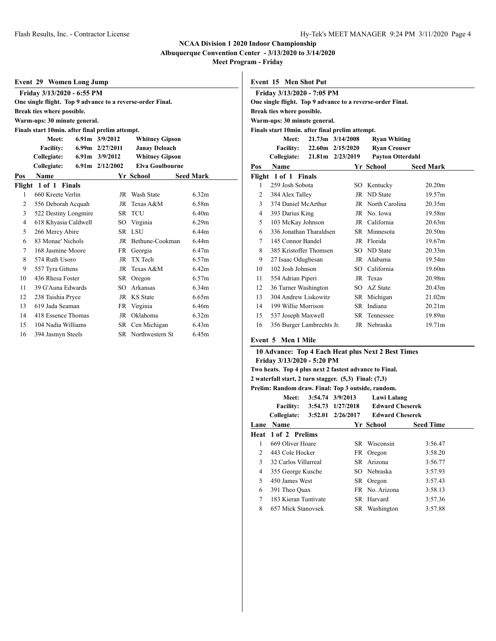**Albuquerque Convention Center - 3/13/2020 to 3/14/2020**

**Meet Program - Friday**

| <b>Event 29 Women Long Jump</b> |                                                 |  |                    |                                                            |                  |  |  |
|---------------------------------|-------------------------------------------------|--|--------------------|------------------------------------------------------------|------------------|--|--|
|                                 | Friday 3/13/2020 - 6:55 PM                      |  |                    |                                                            |                  |  |  |
|                                 |                                                 |  |                    | One single flight. Top 9 advance to a reverse-order Final. |                  |  |  |
|                                 | Break ties where possible.                      |  |                    |                                                            |                  |  |  |
|                                 | Warm-ups: 30 minute general.                    |  |                    |                                                            |                  |  |  |
|                                 | Finals start 10min. after final prelim attempt. |  |                    |                                                            |                  |  |  |
|                                 | Meet:                                           |  | $6.91m$ $3/9/2012$ | <b>Whitney Gipson</b>                                      |                  |  |  |
|                                 | <b>Facility:</b>                                |  | 6.99m 2/27/2011    | <b>Janay Deloach</b>                                       |                  |  |  |
|                                 | Collegiate:                                     |  | $6.91m$ $3/9/2012$ | <b>Whitney Gipson</b>                                      |                  |  |  |
|                                 | Collegiate:                                     |  | 6.91m 2/12/2002    | <b>Elva Goulbourne</b>                                     |                  |  |  |
| Pos                             | <b>Name</b>                                     |  |                    | Yr School                                                  | <b>Seed Mark</b> |  |  |
|                                 | Flight 1 of 1 Finals                            |  |                    |                                                            |                  |  |  |
| 1                               | 660 Kreete Verlin                               |  |                    | JR Wash State                                              | 6.32m            |  |  |
| $\overline{c}$                  | 556 Deborah Acquah                              |  | JR                 | Texas A&M                                                  | 6.58m            |  |  |
| 3                               | 522 Destiny Longmire                            |  |                    | SR TCU                                                     | 6.40m            |  |  |
| 4                               | 618 Khyasia Caldwell                            |  | SO                 | Virginia                                                   | 6.29m            |  |  |
| 5                               | 266 Mercy Abire                                 |  | SR.                | <b>LSU</b>                                                 | 6.44m            |  |  |
| 6                               | 83 Monae' Nichols                               |  | JR                 | Bethune-Cookman                                            | 6.44m            |  |  |
| 7                               | 168 Jasmine Moore                               |  | FR                 | Georgia                                                    | 6.47m            |  |  |
| 8                               | 574 Ruth Usoro                                  |  | JR                 | TX Tech                                                    | 6.57m            |  |  |
| 9                               | 557 Tyra Gittens                                |  | JR                 | Texas A&M                                                  | 6.42m            |  |  |
| 10                              | 436 Rhesa Foster                                |  |                    | SR Oregon                                                  | 6.57m            |  |  |
| 11                              | 39 G'Auna Edwards                               |  | SO <sub>2</sub>    | Arkansas                                                   | 6.34m            |  |  |
| 12                              | 238 Taishia Pryce                               |  | JR                 | <b>KS</b> State                                            | 6.65m            |  |  |
| 13                              | 619 Jada Seaman                                 |  | FR                 | Virginia                                                   | 6.46m            |  |  |
| 14                              | 418 Essence Thomas                              |  | JR                 | Oklahoma                                                   | 6.32m            |  |  |
| 15                              | 104 Nadia Williams                              |  |                    | SR Cen Michigan                                            | 6.43m            |  |  |
| 16                              | 394 Jasmyn Steels                               |  |                    | <b>SR</b> Northwestern St                                  | 6.45m            |  |  |

| Event 15 Men Shot Put |  |  |
|-----------------------|--|--|
|                       |  |  |

| Friday 3/13/2020 - 7:05 PM |                                                            |  |                  |                         |                    |  |  |  |  |
|----------------------------|------------------------------------------------------------|--|------------------|-------------------------|--------------------|--|--|--|--|
|                            | One single flight. Top 9 advance to a reverse-order Final. |  |                  |                         |                    |  |  |  |  |
|                            | Break ties where possible.                                 |  |                  |                         |                    |  |  |  |  |
|                            | Warm-ups: 30 minute general.                               |  |                  |                         |                    |  |  |  |  |
|                            | Finals start 10min. after final prelim attempt.            |  |                  |                         |                    |  |  |  |  |
|                            | Meet:                                                      |  | 21.73m 3/14/2008 | <b>Ryan Whiting</b>     |                    |  |  |  |  |
|                            | Facility: 22.60m 2/15/2020                                 |  |                  | <b>Ryan Crouser</b>     |                    |  |  |  |  |
|                            | Collegiate:                                                |  | 21.81m 2/23/2019 | <b>Payton Otterdahl</b> |                    |  |  |  |  |
| Pos                        | Name                                                       |  |                  | Yr School               | <b>Seed Mark</b>   |  |  |  |  |
|                            | Flight 1 of 1 Finals                                       |  |                  |                         |                    |  |  |  |  |
| 1                          | 259 Josh Sobota                                            |  |                  | SO Kentucky             | 20.20 <sub>m</sub> |  |  |  |  |
| 2                          | 384 Alex Talley                                            |  |                  | JR ND State             | 19.57m             |  |  |  |  |
| 3                          | 374 Daniel McArthur                                        |  |                  | JR North Carolina       | 20.35m             |  |  |  |  |
| $\overline{4}$             | 393 Darius King                                            |  |                  | JR No. Iowa             | 19.58m             |  |  |  |  |
| 5                          | 103 McKay Johnson                                          |  |                  | JR California           | 20.63m             |  |  |  |  |
| 6                          | 336 Jonathan Tharaldsen                                    |  |                  | SR Minnesota            | 20.50 <sub>m</sub> |  |  |  |  |
| 7                          | 145 Connor Bandel                                          |  |                  | JR Florida              | 19.67m             |  |  |  |  |
| 8                          | 385 Kristoffer Thomsen                                     |  |                  | SO ND State             | 20.33m             |  |  |  |  |
| 9                          | 27 Isaac Odugbesan                                         |  |                  | JR Alabama              | 19.54m             |  |  |  |  |
| 10                         | 102 Josh Johnson                                           |  |                  | SO California           | 19.60m             |  |  |  |  |
| 11                         | 554 Adrian Piperi                                          |  |                  | JR Texas                | 20.98m             |  |  |  |  |
| 12                         | 36 Turner Washington                                       |  |                  | SO AZ State             | 20.43m             |  |  |  |  |
| 13                         | 304 Andrew Liskowitz                                       |  |                  | SR Michigan             | 21.02m             |  |  |  |  |
| 14                         | 199 Willie Morrison                                        |  |                  | SR Indiana              | 20.21m             |  |  |  |  |
| 15                         | 537 Joseph Maxwell                                         |  |                  | SR Tennessee            | 19.89m             |  |  |  |  |
| 16                         | 356 Burger Lambrechts Jr.                                  |  |                  | JR Nebraska             | 19.71m             |  |  |  |  |

## **Event 5 Men 1 Mile**

| 10 Advance: Top 4 Each Heat plus Next 2 Best Times |                                                           |  |                             |                        |                  |  |  |  |  |
|----------------------------------------------------|-----------------------------------------------------------|--|-----------------------------|------------------------|------------------|--|--|--|--|
|                                                    | Friday 3/13/2020 - 5:20 PM                                |  |                             |                        |                  |  |  |  |  |
|                                                    | Two heats. Top 4 plus next 2 fastest advance to Final.    |  |                             |                        |                  |  |  |  |  |
|                                                    | 2 waterfall start, 2 turn stagger. $(5,3)$ Final: $(7,3)$ |  |                             |                        |                  |  |  |  |  |
|                                                    | Prelim: Random draw. Final: Top 3 outside, random.        |  |                             |                        |                  |  |  |  |  |
|                                                    | Meet:                                                     |  | 3:54.74 3/9/2013            | Lawi Lalang            |                  |  |  |  |  |
|                                                    |                                                           |  | Facility: 3:54.73 1/27/2018 | <b>Edward Cheserek</b> |                  |  |  |  |  |
|                                                    | Collegiate: 3:52.01 2/26/2017                             |  |                             | <b>Edward Cheserek</b> |                  |  |  |  |  |
| Lane                                               | <b>Name</b>                                               |  |                             | Yr School              | <b>Seed Time</b> |  |  |  |  |
|                                                    | Heat 1 of 2 Prelims                                       |  |                             |                        |                  |  |  |  |  |
| 1                                                  | 669 Oliver Hoare                                          |  |                             | SR Wisconsin           | 3:56.47          |  |  |  |  |
| $\mathfrak{D}$                                     | 443 Cole Hocker                                           |  |                             | FR Oregon              | 3:58.20          |  |  |  |  |
| 3                                                  | 32 Carlos Villarreal                                      |  |                             | SR Arizona             | 3:56.77          |  |  |  |  |
| 4                                                  | 355 George Kusche                                         |  |                             | SO Nebraska            | 3:57.93          |  |  |  |  |
| 5                                                  | 450 James West                                            |  |                             | SR Oregon              | 3:57.43          |  |  |  |  |
| 6                                                  | 391 Theo Quax                                             |  |                             | FR No. Arizona         | 3:58.13          |  |  |  |  |
| 7                                                  | 183 Kieran Tuntivate                                      |  |                             | SR Harvard             | 3:57.36          |  |  |  |  |
| 8                                                  | 657 Mick Stanovsek                                        |  |                             | SR Washington          | 3:57.88          |  |  |  |  |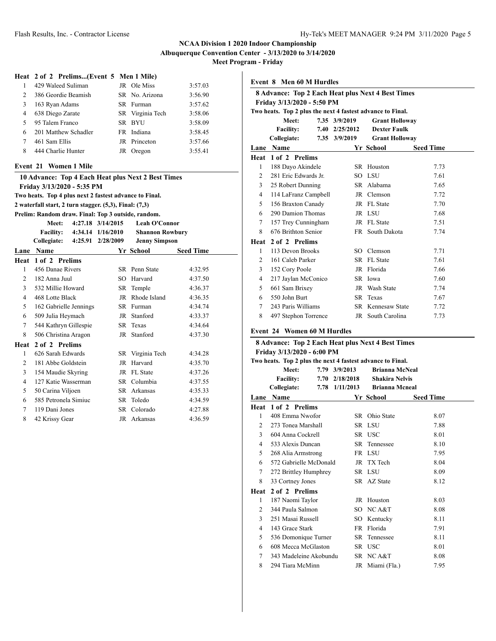**Meet Program - Friday**

#### **Heat 2 of 2 Prelims...(Event 5 Men 1 Mile)**

|               | 429 Waleed Suliman   | JR Ole Miss      | 3:57.03 |
|---------------|----------------------|------------------|---------|
| $\mathcal{L}$ | 386 Geordie Beamish  | SR No. Arizona   | 3:56.90 |
| 3             | 163 Ryan Adams       | SR Furman        | 3:57.62 |
| 4             | 638 Diego Zarate     | SR Virginia Tech | 3:58.06 |
| $\sim$        | 95 Talem Franco      | SR BYU           | 3:58.09 |
| 6             | 201 Matthew Schadler | FR Indiana       | 3:58.45 |
|               | 461 Sam Ellis        | JR Princeton     | 3:57.66 |
| 8             | 444 Charlie Hunter   | JR Oregon        | 3:55.41 |

#### **Event 21 Women 1 Mile**

|                                                        |                                                        |  |                             | 10 Advance: Top 4 Each Heat plus Next 2 Best Times |                  |  |  |  |
|--------------------------------------------------------|--------------------------------------------------------|--|-----------------------------|----------------------------------------------------|------------------|--|--|--|
| Friday 3/13/2020 - 5:35 PM                             |                                                        |  |                             |                                                    |                  |  |  |  |
| Two heats. Top 4 plus next 2 fastest advance to Final. |                                                        |  |                             |                                                    |                  |  |  |  |
|                                                        | 2 waterfall start, 2 turn stagger. (5,3), Final: (7,3) |  |                             |                                                    |                  |  |  |  |
|                                                        | Prelim: Random draw. Final: Top 3 outside, random.     |  |                             |                                                    |                  |  |  |  |
|                                                        | Meet:                                                  |  | 4:27.18 3/14/2015           | <b>Leah O'Connor</b>                               |                  |  |  |  |
|                                                        |                                                        |  | Facility: 4:34.14 1/16/2010 | <b>Shannon Rowbury</b>                             |                  |  |  |  |
|                                                        | Collegiate:                                            |  | 4:25.91 2/28/2009           | <b>Jenny Simpson</b>                               |                  |  |  |  |
|                                                        | Lane Name                                              |  |                             | Yr School                                          | <b>Seed Time</b> |  |  |  |
|                                                        | Heat 1 of 2 Prelims                                    |  |                             |                                                    |                  |  |  |  |
| $\mathbf{1}$                                           | 456 Danae Rivers                                       |  |                             | SR Penn State                                      | 4:32.95          |  |  |  |
| $\mathfrak{D}$                                         | 182 Anna Juul                                          |  | SO.                         | Harvard                                            | 4:37.50          |  |  |  |
| 3                                                      | 532 Millie Howard                                      |  |                             | SR Temple                                          | 4:36.37          |  |  |  |
| 4                                                      | 468 Lotte Black                                        |  |                             | JR Rhode Island                                    | 4:36.35          |  |  |  |
| 5                                                      | 162 Gabrielle Jennings                                 |  |                             | SR Furman                                          | 4:34.74          |  |  |  |
| 6                                                      | 509 Julia Heymach                                      |  |                             | JR Stanford                                        | 4:33.37          |  |  |  |
| 7                                                      | 544 Kathryn Gillespie                                  |  |                             | SR Texas                                           | 4:34.64          |  |  |  |
| 8                                                      | 506 Christina Aragon                                   |  |                             | JR Stanford                                        | 4:37.30          |  |  |  |
| Heat                                                   | 2 of 2 Prelims                                         |  |                             |                                                    |                  |  |  |  |
| 1                                                      | 626 Sarah Edwards                                      |  |                             | SR Virginia Tech                                   | 4:34.28          |  |  |  |
| 2                                                      | 181 Abbe Goldstein                                     |  |                             | JR Harvard                                         | 4:35.70          |  |  |  |
| 3                                                      | 154 Maudie Skyring                                     |  |                             | JR FL State                                        | 4:37.26          |  |  |  |
| 4                                                      | 127 Katie Wasserman                                    |  |                             | SR Columbia                                        | 4:37.55          |  |  |  |
| 5                                                      | 50 Carina Viljoen                                      |  |                             | SR Arkansas                                        | 4:35.33          |  |  |  |
| 6                                                      | 585 Petronela Simiuc                                   |  | SR –                        | Toledo                                             | 4:34.59          |  |  |  |
| 7                                                      | 119 Dani Jones                                         |  |                             | SR Colorado                                        | 4:27.88          |  |  |  |
| 8                                                      | 42 Krissy Gear                                         |  | JR                          | Arkansas                                           | 4:36.59          |  |  |  |

| <b>Event 8 Men 60 M Hurdles</b>                                                        |                                                            |      |                |                                                          |                  |  |  |  |
|----------------------------------------------------------------------------------------|------------------------------------------------------------|------|----------------|----------------------------------------------------------|------------------|--|--|--|
| <b>8 Advance: Top 2 Each Heat plus Next 4 Best Times</b><br>Friday 3/13/2020 - 5:50 PM |                                                            |      |                |                                                          |                  |  |  |  |
|                                                                                        | Two heats. Top 2 plus the next 4 fastest advance to Final. |      |                |                                                          |                  |  |  |  |
| 7.35 3/9/2019<br>Meet:<br><b>Grant Holloway</b>                                        |                                                            |      |                |                                                          |                  |  |  |  |
|                                                                                        | <b>Facility:</b>                                           |      | 7.40 2/25/2012 | <b>Dexter Faulk</b>                                      |                  |  |  |  |
|                                                                                        | Collegiate:                                                |      | 7.35 3/9/2019  | <b>Grant Holloway</b>                                    |                  |  |  |  |
|                                                                                        | Lane Name                                                  |      |                | Yr School                                                | <b>Seed Time</b> |  |  |  |
|                                                                                        | Heat 1 of 2 Prelims                                        |      |                |                                                          |                  |  |  |  |
| $\mathbf{1}$                                                                           | 188 Dayo Akindele                                          |      |                | SR Houston                                               | 7.73             |  |  |  |
| $\overline{2}$                                                                         | 281 Eric Edwards Jr.                                       |      |                | SO LSU                                                   | 7.61             |  |  |  |
| 3                                                                                      | 25 Robert Dunning                                          |      |                | SR Alabama                                               | 7.65             |  |  |  |
| 4                                                                                      | 114 LaFranz Campbell                                       |      |                | JR Clemson                                               | 7.72             |  |  |  |
| 5                                                                                      | 156 Braxton Canady                                         |      |                | JR FL State                                              | 7.70             |  |  |  |
| 6                                                                                      | 290 Damion Thomas                                          |      |                | JR LSU                                                   | 7.68             |  |  |  |
| 7                                                                                      | 157 Trey Cunningham                                        |      |                | JR FL State                                              | 7.51             |  |  |  |
| 8                                                                                      | 676 Brithton Senior                                        |      |                | FR South Dakota                                          | 7.74             |  |  |  |
| Heat                                                                                   | 2 of 2 Prelims                                             |      |                |                                                          |                  |  |  |  |
| 1                                                                                      | 113 Devon Brooks                                           |      |                | SO Clemson                                               | 7.71             |  |  |  |
| $\overline{2}$                                                                         | 161 Caleb Parker                                           |      |                | SR FL State                                              | 7.61             |  |  |  |
| 3                                                                                      | 152 Cory Poole                                             |      |                | JR Florida                                               | 7.66             |  |  |  |
| 4                                                                                      | 217 Jaylan McConico                                        |      |                | SR Iowa                                                  | 7.60             |  |  |  |
| 5                                                                                      | 661 Sam Brixey                                             |      |                | JR Wash State                                            | 7.74             |  |  |  |
| 6                                                                                      | 550 John Burt                                              |      |                | SR Texas                                                 | 7.67             |  |  |  |
| 7                                                                                      | 243 Paris Williams                                         |      |                | SR Kennesaw State                                        | 7.72             |  |  |  |
| 8                                                                                      | 497 Stephon Torrence                                       |      |                | JR South Carolina                                        | 7.73             |  |  |  |
|                                                                                        | <b>Event 24 Women 60 M Hurdles</b>                         |      |                |                                                          |                  |  |  |  |
|                                                                                        | Friday 3/13/2020 - 6:00 PM                                 |      |                | <b>8 Advance: Top 2 Each Heat plus Next 4 Best Times</b> |                  |  |  |  |
|                                                                                        | Two heats. Top 2 plus the next 4 fastest advance to Final. |      |                |                                                          |                  |  |  |  |
|                                                                                        | Meet:                                                      |      | 7.79 3/9/2013  | <b>Brianna McNeal</b>                                    |                  |  |  |  |
|                                                                                        | <b>Facility:</b>                                           |      | 7.70 2/18/2018 | <b>Shakira Nelvis</b>                                    |                  |  |  |  |
|                                                                                        | Collegiate:                                                | 7.78 | 1/11/2013      | <b>Brianna Mcneal</b>                                    |                  |  |  |  |

|                | 7.78 1/11/2013<br>Collegiate: |    | <b>Brianna Mcneal</b> |                  |  |
|----------------|-------------------------------|----|-----------------------|------------------|--|
| Lane           | <b>Name</b>                   |    | Yr School             | <b>Seed Time</b> |  |
| Heat           | 1 of 2 Prelims                |    |                       |                  |  |
| 1              | 408 Emma Nwofor               |    | SR Ohio State         | 8.07             |  |
| 2              | 273 Tonea Marshall            |    | SR LSU                | 7.88             |  |
| 3              | 604 Anna Cockrell             |    | SR USC                | 8.01             |  |
| 4              | 533 Alexis Duncan             |    | SR Tennessee          | 8.10             |  |
| 5              | 268 Alia Armstrong            |    | FR LSU                | 7.95             |  |
| 6              | 572 Gabrielle McDonald        |    | JR TX Tech            | 8.04             |  |
| 7              | 272 Brittley Humphrey         |    | SR LSU                | 8.09             |  |
| 8              | 33 Cortney Jones              |    | SR AZ State           | 8.12             |  |
| Heat           | 2 of 2 Prelims                |    |                       |                  |  |
| 1              | 187 Naomi Taylor              |    | JR Houston            | 8.03             |  |
| $\mathfrak{D}$ | 344 Paula Salmon              |    | SO NCA&T              | 8.08             |  |
| 3              | 251 Masai Russell             |    | SO Kentucky           | 8.11             |  |
| 4              | 143 Grace Stark               | FR | Florida               | 7.91             |  |
| 5              | 536 Domonique Turner          |    | SR Tennessee          | 8.11             |  |
| 6              | 608 Mecca McGlaston           |    | SR USC                | 8.01             |  |
| 7              | 343 Madeleine Akobundu        |    | SR NCA&T              | 8.08             |  |
| 8              | 294 Tiara McMinn              |    | JR Miami (Fla.)       | 7.95             |  |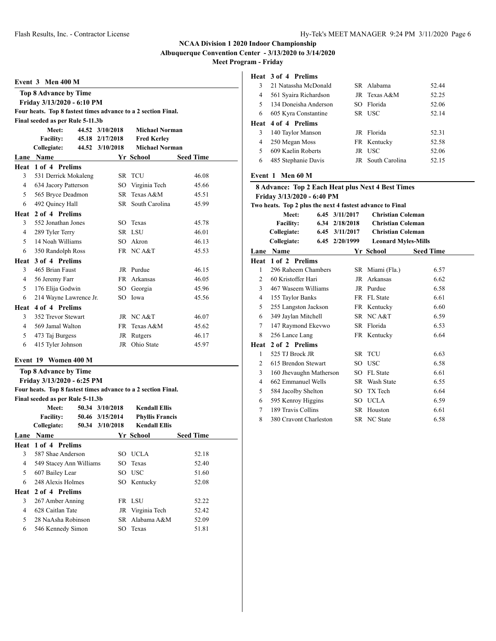**Albuquerque Convention Center - 3/13/2020 to 3/14/2020**

**Meet Program - Friday**

#### **Event 3 Men 400 M**

|                | <b>Top 8 Advance by Time</b>                                  |                 |                       |                  |
|----------------|---------------------------------------------------------------|-----------------|-----------------------|------------------|
|                | Friday 3/13/2020 - 6:10 PM                                    |                 |                       |                  |
|                | Four heats. Top 8 fastest times advance to a 2 section Final. |                 |                       |                  |
|                | Final seeded as per Rule 5-11.3b                              |                 |                       |                  |
|                | Meet:                                                         | 44.52 3/10/2018 | <b>Michael Norman</b> |                  |
|                | <b>Facility:</b>                                              | 45.18 2/17/2018 | <b>Fred Kerley</b>    |                  |
|                | Collegiate:                                                   | 44.52 3/10/2018 | <b>Michael Norman</b> |                  |
|                | Lane Name                                                     |                 | Yr School             | <b>Seed Time</b> |
|                | Heat 1 of 4 Prelims                                           |                 |                       |                  |
| 3              | 531 Derrick Mokaleng                                          |                 | SR TCU                | 46.08            |
| $\overline{4}$ | 634 Jacory Patterson                                          |                 | SO Virginia Tech      | 45.66            |
| 5              | 565 Bryce Deadmon                                             |                 | SR Texas A&M          | 45.51            |
| 6              | 492 Quincy Hall                                               |                 | SR South Carolina     | 45.99            |
|                | Heat 2 of 4 Prelims                                           |                 |                       |                  |
| 3              | 552 Jonathan Jones                                            |                 | SO Texas              | 45.78            |
| 4              | 289 Tyler Terry                                               |                 | SR LSU                | 46.01            |
| 5              | 14 Noah Williams                                              |                 | SO Akron              | 46.13            |
| 6              | 350 Randolph Ross                                             |                 | FR NCA&T              | 45.53            |
| Heat           | 3 of 4 Prelims                                                |                 |                       |                  |
| 3              | 465 Brian Faust                                               |                 | JR Purdue             | 46.15            |
| 4              | 56 Jeremy Farr                                                |                 | FR Arkansas           | 46.05            |
| 5              | 176 Elija Godwin                                              |                 | SO Georgia            | 45.96            |
| 6              | 214 Wayne Lawrence Jr.                                        | SO.             | Iowa                  | 45.56            |
|                | Heat 4 of 4 Prelims                                           |                 |                       |                  |
| 3              | 352 Trevor Stewart                                            |                 | JR NCA&T              | 46.07            |
| $\overline{4}$ | 569 Jamal Walton                                              |                 | FR Texas A&M          | 45.62            |
| 5              | 473 Taj Burgess                                               |                 | JR Rutgers            | 46.17            |
| 6              | 415 Tyler Johnson                                             |                 | JR Ohio State         | 45.97            |
|                |                                                               |                 |                       |                  |

### **Event 19 Women 400 M**

**Top 8 Advance by Time Friday 3/13/2020 - 6:25 PM Four heats. Top 8 fastest times advance to a 2 section Final. Final seeded as per Rule 5-11.3b Meet: 50.34 3/10/2018 Kendall Ellis Facility: 50.46 3/15/2014 Phyllis Francis Collegiate: 50.34 3/10/2018 Kendall Ellis Lane Name Yr School Seed Time Heat 1 of 4 Prelims** 3 587 Shae Anderson SO UCLA 52.18 4 549 Stacey Ann Williams SO Texas 52.40 5 607 Bailey Lear SO USC 51.60 6 248 Alexis Holmes SO Kentucky 52.08 **Heat 2 of 4 Prelims** 3 267 Amber Anning FR LSU 52.22 4 628 Caitlan Tate JR Virginia Tech 52.42 5 28 NaAsha Robinson SR Alabama A&M 52.09 6 546 Kennedy Simon SO Texas 51.81

#### **Heat 3 of 4 Prelims**

| 3 | 21 Natassha McDonald       | SR Alabama        | 52.44 |
|---|----------------------------|-------------------|-------|
| 4 | 561 Syaira Richardson      | $IR$ Texas A&M    | 52.25 |
| 5 | 134 Doneisha Anderson      | SO Florida        | 52.06 |
| 6 | 605 Kyra Constantine       | SR USC            | 52.14 |
|   | <b>Heat 4 of 4 Prelims</b> |                   |       |
| 3 | 140 Taylor Manson          | JR Florida        | 52.31 |
| 4 | 250 Megan Moss             | FR Kentucky       | 52.58 |
| 5 | 609 Kaelin Roberts         | JR USC            | 52.06 |
| 6 | 485 Stephanie Davis        | JR South Carolina | 52.15 |
|   |                            |                   |       |

### **Event 1 Men 60 M**

| 8 Advance: Top 2 Each Heat plus Next 4 Best Times |                                                           |                |  |                            |                  |  |  |  |  |
|---------------------------------------------------|-----------------------------------------------------------|----------------|--|----------------------------|------------------|--|--|--|--|
|                                                   | Friday 3/13/2020 - 6:40 PM                                |                |  |                            |                  |  |  |  |  |
|                                                   | Two heats. Top 2 plus the next 4 fastest advance to Final |                |  |                            |                  |  |  |  |  |
|                                                   | Meet:                                                     | 6.45 3/11/2017 |  | <b>Christian Coleman</b>   |                  |  |  |  |  |
|                                                   | <b>Facility:</b>                                          | 6.34 2/18/2018 |  | <b>Christian Coleman</b>   |                  |  |  |  |  |
|                                                   | Collegiate:                                               | 6.45 3/11/2017 |  | <b>Christian Coleman</b>   |                  |  |  |  |  |
|                                                   | Collegiate:                                               | 6.45 2/20/1999 |  | <b>Leonard Myles-Mills</b> |                  |  |  |  |  |
|                                                   | <b>Lane Name</b>                                          |                |  | Yr School                  | <b>Seed Time</b> |  |  |  |  |
| Heat                                              | 1 of 2 Prelims                                            |                |  |                            |                  |  |  |  |  |
| 1                                                 | 296 Raheem Chambers                                       |                |  | SR Miami (Fla.)            | 6.57             |  |  |  |  |
| 2                                                 | 60 Kristoffer Hari                                        |                |  | JR Arkansas                | 6.62             |  |  |  |  |
| $\mathbf{3}$                                      | 467 Waseem Williams                                       |                |  | JR Purdue                  | 6.58             |  |  |  |  |
| 4                                                 | 155 Taylor Banks                                          |                |  | FR FL State                | 6.61             |  |  |  |  |
| 5                                                 | 255 Langston Jackson                                      |                |  | FR Kentucky                | 6.60             |  |  |  |  |
| 6                                                 | 349 Jaylan Mitchell                                       |                |  | SR NCA&T                   | 6.59             |  |  |  |  |
| $7^{\circ}$                                       | 147 Raymond Ekevwo                                        |                |  | SR Florida                 | 6.53             |  |  |  |  |
| 8                                                 | 256 Lance Lang                                            |                |  | FR Kentucky                | 6.64             |  |  |  |  |
| Heat                                              | 2 of 2 Prelims                                            |                |  |                            |                  |  |  |  |  |
| 1                                                 | 525 TJ Brock JR                                           |                |  | SR TCU                     | 6.63             |  |  |  |  |
| 2                                                 | 615 Brendon Stewart                                       |                |  | SO USC                     | 6.58             |  |  |  |  |
| 3                                                 | 160 Jhevaughn Matherson                                   |                |  | SO FL State                | 6.61             |  |  |  |  |
| 4                                                 | 662 Emmanuel Wells                                        |                |  | SR Wash State              | 6.55             |  |  |  |  |
| 5                                                 | 584 Jacolby Shelton                                       |                |  | SO TX Tech                 | 6.64             |  |  |  |  |
| 6                                                 | 595 Kenroy Higgins                                        |                |  | SO UCLA                    | 6.59             |  |  |  |  |
| 7                                                 | 189 Travis Collins                                        |                |  | SR Houston                 | 6.61             |  |  |  |  |
| 8                                                 | 380 Cravont Charleston                                    |                |  | SR NC State                | 6.58             |  |  |  |  |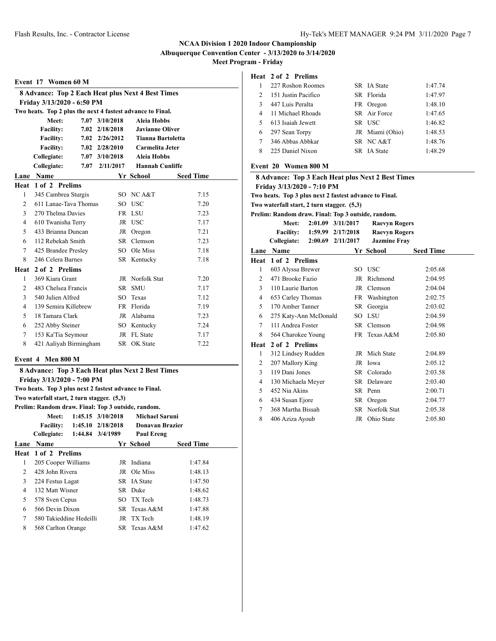**Albuquerque Convention Center - 3/13/2020 to 3/14/2020**

**Meet Program - Friday**

#### **Event 17 Women 60 M**

| <b>8 Advance: Top 2 Each Heat plus Next 4 Best Times</b> |                                                              |      |                |                          |                  |  |  |  |  |
|----------------------------------------------------------|--------------------------------------------------------------|------|----------------|--------------------------|------------------|--|--|--|--|
| Friday 3/13/2020 - 6:50 PM                               |                                                              |      |                |                          |                  |  |  |  |  |
|                                                          | Two heats. Top 2 plus the next 4 fastest advance to Final.   |      |                |                          |                  |  |  |  |  |
| 7.07 3/10/2018<br>Meet:<br>Aleia Hobbs                   |                                                              |      |                |                          |                  |  |  |  |  |
|                                                          | <b>Facility:</b><br>7.02 2/18/2018<br><b>Javianne Oliver</b> |      |                |                          |                  |  |  |  |  |
|                                                          | <b>Facility:</b>                                             |      | 7.02 2/26/2012 | <b>Tianna Bartoletta</b> |                  |  |  |  |  |
|                                                          | <b>Facility:</b>                                             |      | 7.02 2/28/2010 | Carmelita Jeter          |                  |  |  |  |  |
|                                                          | Collegiate:                                                  |      | 7.07 3/10/2018 | <b>Aleia Hobbs</b>       |                  |  |  |  |  |
|                                                          | Collegiate:                                                  | 7.07 | 2/11/2017      | <b>Hannah Cunliffe</b>   |                  |  |  |  |  |
| Lane                                                     | <b>Name</b>                                                  |      |                | Yr School                | <b>Seed Time</b> |  |  |  |  |
| Heat                                                     | 1 of 2 Prelims                                               |      |                |                          |                  |  |  |  |  |
| 1                                                        | 345 Cambrea Sturgis                                          |      |                | SO NCA&T                 | 7.15             |  |  |  |  |
| 2                                                        | 611 Lanae-Tava Thomas                                        |      |                | SO USC                   | 7.20             |  |  |  |  |
| 3                                                        | 270 Thelma Davies                                            |      |                | FR LSU                   | 7.23             |  |  |  |  |
| 4                                                        | 610 Twanisha Terry                                           |      |                | JR USC                   | 7.17             |  |  |  |  |
| 5                                                        | 433 Brianna Duncan                                           |      |                | JR Oregon                | 7.21             |  |  |  |  |
| 6                                                        | 112 Rebekah Smith                                            |      |                | SR Clemson               | 7.23             |  |  |  |  |
| 7                                                        | 425 Brandee Presley                                          |      |                | SO Ole Miss              | 7.18             |  |  |  |  |
| 8                                                        | 246 Celera Barnes                                            |      |                | SR Kentucky              | 7.18             |  |  |  |  |
| Heat                                                     | 2 of 2 Prelims                                               |      |                |                          |                  |  |  |  |  |
| 1                                                        | 369 Kiara Grant                                              |      | JR             | Norfolk Stat             | 7.20             |  |  |  |  |
| $\overline{c}$                                           | 483 Chelsea Francis                                          |      | SR.            | <b>SMU</b>               | 7.17             |  |  |  |  |
| 3                                                        | 540 Julien Alfred                                            |      | SO.            | Texas                    | 7.12             |  |  |  |  |
| 4                                                        | 139 Semira Killebrew                                         |      |                | FR Florida               | 7.19             |  |  |  |  |
| 5                                                        | 18 Tamara Clark                                              |      |                | JR Alabama               | 7.23             |  |  |  |  |
| 6                                                        | 252 Abby Steiner                                             |      |                | SO Kentucky              | 7.24             |  |  |  |  |
| 7                                                        | 153 Ka'Tia Seymour                                           |      |                | JR FL State              | 7.17             |  |  |  |  |
| 8                                                        | 421 Aaliyah Birmingham                                       |      |                | SR OK State              | 7.22             |  |  |  |  |
|                                                          |                                                              |      |                |                          |                  |  |  |  |  |

#### **Event 4 Men 800 M**

|      | 8 Advance: Top 3 Each Heat plus Next 2 Best Times      |  |                       |                   |                  |  |  |
|------|--------------------------------------------------------|--|-----------------------|-------------------|------------------|--|--|
|      | Friday 3/13/2020 - 7:00 PM                             |  |                       |                   |                  |  |  |
|      | Two heats. Top 3 plus next 2 fastest advance to Final. |  |                       |                   |                  |  |  |
|      | Two waterfall start, 2 turn stagger. (5,3)             |  |                       |                   |                  |  |  |
|      | Prelim: Random draw. Final: Top 3 outside, random.     |  |                       |                   |                  |  |  |
|      | Meet:                                                  |  | $1:45.15$ $3/10/2018$ | Michael Saruni    |                  |  |  |
|      | Facility: 1:45.10 2/18/2018<br>Donavan Brazier         |  |                       |                   |                  |  |  |
|      | Collegiate: 1:44.84 3/4/1989                           |  |                       | <b>Paul Ereng</b> |                  |  |  |
| Lane | Name                                                   |  |                       | Yr School         | <b>Seed Time</b> |  |  |
|      | Heat 1 of 2 Prelims                                    |  |                       |                   |                  |  |  |
| 1    | 205 Cooper Williams                                    |  |                       | JR Indiana        | 1:47.84          |  |  |
| 2    | 428 John Rivera                                        |  |                       | JR Ole Miss       | 1:48.13          |  |  |
| 3    | 224 Festus Lagat                                       |  |                       | SR IA State       | 1:47.50          |  |  |
| 4    | 132 Matt Wisner                                        |  |                       | SR Duke           | 1:48.62          |  |  |
| 5    | 578 Sven Cepus                                         |  | SO -                  | TX Tech           | 1:48.73          |  |  |
| 6    | 566 Devin Dixon                                        |  |                       | SR Texas A&M      | 1:47.88          |  |  |
| 7    | 580 Takieddine Hedeilli                                |  | JR                    | TX Tech           | 1:48.19          |  |  |
| 8    | 568 Carlton Orange                                     |  |                       | SR Texas A&M      | 1:47.62          |  |  |

# **Heat 2 of 2 Prelims**

|                | 227 Roshon Roomes   | SR IA State     | 1:47.74 |
|----------------|---------------------|-----------------|---------|
| $\mathfrak{D}$ | 151 Justin Pacifico | SR Florida      | 1:47.97 |
| $\mathbf{R}$   | 447 Luis Peralta    | FR Oregon       | 1:48.10 |
|                | 11 Michael Rhoads   | SR Air Force    | 1:47.65 |
| 5.             | 613 Isaiah Jewett   | SR USC          | 1:46.82 |
| 6              | 297 Sean Torpy      | JR Miami (Ohio) | 1:48.53 |
|                | 346 Abbas Abbkar    | SR NCA&T        | 1:48.76 |
| 8              | 225 Daniel Nixon    | SR IA State     | 1:48.29 |
|                |                     |                 |         |

#### **Event 20 Women 800 M**

|                | 8 Advance: Top 3 Each Heat plus Next 2 Best Times      |  |                   |                      |                  |  |  |  |
|----------------|--------------------------------------------------------|--|-------------------|----------------------|------------------|--|--|--|
|                | Friday 3/13/2020 - 7:10 PM                             |  |                   |                      |                  |  |  |  |
|                | Two heats. Top 3 plus next 2 fastest advance to Final. |  |                   |                      |                  |  |  |  |
|                | Two waterfall start, 2 turn stagger. (5,3)             |  |                   |                      |                  |  |  |  |
|                | Prelim: Random draw. Final: Top 3 outside, random.     |  |                   |                      |                  |  |  |  |
|                | 2:01.09 3/11/2017<br>Meet:<br><b>Raevyn Rogers</b>     |  |                   |                      |                  |  |  |  |
|                | <b>Facility:</b>                                       |  | 1:59.99 2/17/2018 | <b>Raevyn Rogers</b> |                  |  |  |  |
|                | <b>Collegiate:</b>                                     |  | 2:00.69 2/11/2017 | <b>Jazmine Fray</b>  |                  |  |  |  |
|                | Lane Name                                              |  |                   | Yr School            | <b>Seed Time</b> |  |  |  |
| Heat           | 1 of 2 Prelims                                         |  |                   |                      |                  |  |  |  |
| $\mathbf{1}$   | 603 Alyssa Brewer                                      |  |                   | SO USC               | 2:05.68          |  |  |  |
| 2              | 471 Brooke Fazio                                       |  |                   | JR Richmond          | 2:04.95          |  |  |  |
| 3              | 110 Laurie Barton                                      |  |                   | JR Clemson           | 2:04.04          |  |  |  |
| $\overline{4}$ | 653 Carley Thomas                                      |  |                   | FR Washington        | 2:02.75          |  |  |  |
| 5              | 170 Amber Tanner                                       |  |                   | SR Georgia           | 2:03.02          |  |  |  |
| 6              | 275 Katy-Ann McDonald                                  |  |                   | SO LSU               | 2:04.59          |  |  |  |
| 7              | 111 Andrea Foster                                      |  |                   | SR Clemson           | 2:04.98          |  |  |  |
| 8              | 564 Charokee Young                                     |  |                   | FR Texas A&M         | 2:05.80          |  |  |  |
| Heat           | 2 of 2 Prelims                                         |  |                   |                      |                  |  |  |  |
| 1              | 312 Lindsey Rudden                                     |  |                   | JR Mich State        | 2:04.89          |  |  |  |
| 2              | 207 Mallory King                                       |  |                   | JR Iowa              | 2:05.12          |  |  |  |
| 3              | 119 Dani Jones                                         |  |                   | SR Colorado          | 2:03.58          |  |  |  |
| $\overline{4}$ | 130 Michaela Meyer                                     |  |                   | SR Delaware          | 2:03.40          |  |  |  |
| 5              | 452 Nia Akins                                          |  |                   | SR Penn              | 2:00.71          |  |  |  |
| 6              | 434 Susan Ejore                                        |  |                   | SR Oregon            | 2:04.77          |  |  |  |
| 7              | 368 Martha Bissah                                      |  |                   | SR Norfolk Stat      | 2:05.38          |  |  |  |
| 8              | 406 Aziza Ayoub                                        |  |                   | JR Ohio State        | 2:05.80          |  |  |  |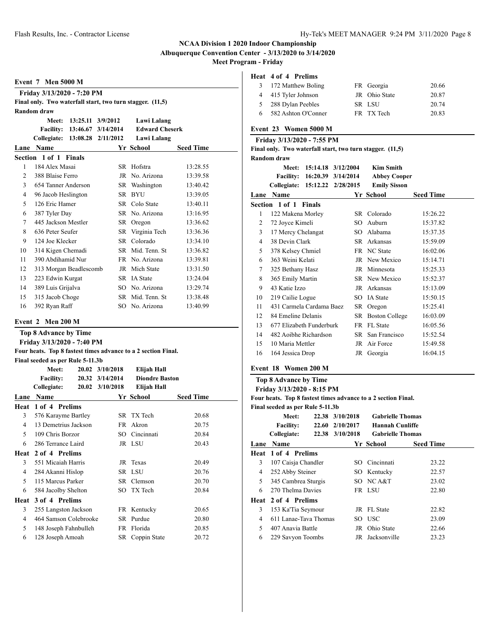**Albuquerque Convention Center - 3/13/2020 to 3/14/2020**

**Meet Program - Friday**

#### **Event 7 Men 5000 M**

|                | Friday 3/13/2020 - 7:20 PM                                |  |                              |                       |                  |  |  |  |
|----------------|-----------------------------------------------------------|--|------------------------------|-----------------------|------------------|--|--|--|
|                | Final only. Two waterfall start, two turn stagger. (11,5) |  |                              |                       |                  |  |  |  |
|                | <b>Random</b> draw                                        |  |                              |                       |                  |  |  |  |
|                | Meet:                                                     |  | 13:25.11 3/9/2012            | Lawi Lalang           |                  |  |  |  |
|                |                                                           |  | Facility: 13:46.67 3/14/2014 | <b>Edward Cheserk</b> |                  |  |  |  |
|                | <b>Collegiate: 13:08.28</b>                               |  | 2/11/2012                    | Lawi Lalang           |                  |  |  |  |
| Lane           | <b>Name</b>                                               |  |                              | Yr School             | <b>Seed Time</b> |  |  |  |
|                | Section 1 of 1 Finals                                     |  |                              |                       |                  |  |  |  |
| 1              | 184 Alex Masai                                            |  |                              | SR Hofstra            | 13:28.55         |  |  |  |
| 2              | 388 Blaise Ferro                                          |  |                              | JR No. Arizona        | 13:39.58         |  |  |  |
| 3              | 654 Tanner Anderson                                       |  |                              | SR Washington         | 13:40.42         |  |  |  |
| $\overline{4}$ | 96 Jacob Heslington                                       |  |                              | SR BYU                | 13:39.05         |  |  |  |
| 5              | 126 Eric Hamer                                            |  |                              | SR Colo State         | 13:40.11         |  |  |  |
| 6              | 387 Tyler Day                                             |  |                              | SR No. Arizona        | 13:16.95         |  |  |  |
| 7              | 445 Jackson Mestler                                       |  | SR                           | Oregon                | 13:36.62         |  |  |  |
| 8              | 636 Peter Seufer                                          |  |                              | SR Virginia Tech      | 13:36.36         |  |  |  |
| 9              | 124 Joe Klecker                                           |  | SR –                         | Colorado              | 13:34.10         |  |  |  |
| 10             | 314 Kigen Chemadi                                         |  |                              | SR Mid. Tenn. St      | 13:36.82         |  |  |  |
| 11             | 390 Abdihamid Nur                                         |  |                              | FR No. Arizona        | 13:39.81         |  |  |  |
| 12             | 313 Morgan Beadlescomb                                    |  |                              | JR Mich State         | 13:31.50         |  |  |  |
| 13             | 223 Edwin Kurgat                                          |  |                              | SR IA State           | 13:24.04         |  |  |  |
| 14             | 389 Luis Grijalva                                         |  |                              | SO No. Arizona        | 13:29.74         |  |  |  |
| 15             | 315 Jacob Choge                                           |  |                              | SR Mid. Tenn. St      | 13:38.48         |  |  |  |
| 16             | 392 Ryan Raff                                             |  | SO.                          | No. Arizona           | 13:40.99         |  |  |  |

#### **Event 2 Men 200 M**

|      | <b>Top 8 Advance by Time</b>                                  |  |                 |                       |                  |  |  |  |
|------|---------------------------------------------------------------|--|-----------------|-----------------------|------------------|--|--|--|
|      | Friday 3/13/2020 - 7:40 PM                                    |  |                 |                       |                  |  |  |  |
|      | Four heats. Top 8 fastest times advance to a 2 section Final. |  |                 |                       |                  |  |  |  |
|      | Final seeded as per Rule 5-11.3b                              |  |                 |                       |                  |  |  |  |
|      | Meet:                                                         |  | 20.02 3/10/2018 | Elijah Hall           |                  |  |  |  |
|      | <b>Facility:</b>                                              |  | 20.32 3/14/2014 | <b>Diondre Baston</b> |                  |  |  |  |
|      | Collegiate:                                                   |  | 20.02 3/10/2018 | Elijah Hall           |                  |  |  |  |
| Lane | <b>Name</b>                                                   |  |                 | Yr School             | <b>Seed Time</b> |  |  |  |
|      | Heat 1 of 4 Prelims                                           |  |                 |                       |                  |  |  |  |
| 3    | 576 Karayme Bartley                                           |  |                 | SR TX Tech            | 20.68            |  |  |  |
| 4    | 13 Demetrius Jackson                                          |  |                 | FR Akron              | 20.75            |  |  |  |
| 5    | 109 Chris Borzor                                              |  |                 | SO Cincinnati         | 20.84            |  |  |  |
| 6    | 286 Terrance Laird                                            |  |                 | JR LSU                | 20.43            |  |  |  |
|      | Heat 2 of 4 Prelims                                           |  |                 |                       |                  |  |  |  |
| 3    | 551 Micaiah Harris                                            |  |                 | JR Texas              | 20.49            |  |  |  |
| 4    | 284 Akanni Hislop                                             |  |                 | SR LSU                | 20.76            |  |  |  |
| 5    | 115 Marcus Parker                                             |  |                 | SR Clemson            | 20.70            |  |  |  |
| 6    | 584 Jacolby Shelton                                           |  |                 | SO TX Tech            | 20.84            |  |  |  |
|      | Heat 3 of 4 Prelims                                           |  |                 |                       |                  |  |  |  |
| 3    | 255 Langston Jackson                                          |  |                 | FR Kentucky           | 20.65            |  |  |  |
| 4    | 464 Samson Colebrooke                                         |  |                 | SR Purdue             | 20.80            |  |  |  |
| 5    | 148 Joseph Fahnbulleh                                         |  |                 | FR Florida            | 20.85            |  |  |  |
| 6    | 128 Joseph Amoah                                              |  |                 | SR Coppin State       | 20.72            |  |  |  |
|      |                                                               |  |                 |                       |                  |  |  |  |

# **Heat 4 of 4 Prelims**

| 3 172 Matthew Boling  | FR Georgia    | 20.66 |
|-----------------------|---------------|-------|
| 4 415 Tyler Johnson   | JR Ohio State | 20.87 |
| 5 288 Dylan Peebles   | SR LSU        | 20.74 |
| 6 582 Ashton O'Conner | FR TX Tech    | 20.83 |

### **Event 23 Women 5000 M**

#### **Friday 3/13/2020 - 7:55 PM**

| Final only. Two waterfall start, two turn stagger. (11,5) |  |  |  |  |
|-----------------------------------------------------------|--|--|--|--|
| Random draw                                               |  |  |  |  |

| пиош игам |  |  |  |  |
|-----------|--|--|--|--|
|           |  |  |  |  |

|      | 15:14.18<br>Meet:        | 3/12/2004          | Kim Smith           |                  |
|------|--------------------------|--------------------|---------------------|------------------|
|      | <b>Facility:</b>         | 16:20.39 3/14/2014 | <b>Abbey Cooper</b> |                  |
|      | Collegiate:              | 15:12.22 2/28/2015 | <b>Emily Sisson</b> |                  |
| Lane | Name                     |                    | Yr School           | <b>Seed Time</b> |
|      | Section 1 of 1 Finals    |                    |                     |                  |
| 1    | 122 Makena Morley        | SR                 | Colorado            | 15:26.22         |
| 2    | 72 Joyce Kimeli          | SO.                | Auburn              | 15:37.82         |
| 3    | 17 Mercy Chelangat       | SO.                | Alabama             | 15:37.35         |
| 4    | 38 Devin Clark           |                    | SR Arkansas         | 15:59.09         |
| 5    | 378 Kelsey Chmiel        |                    | FR NC State         | 16:02.06         |
| 6    | 363 Weini Kelati         |                    | JR New Mexico       | 15:14.71         |
| 7    | 325 Bethany Hasz         |                    | JR Minnesota        | 15:25.33         |
| 8    | 365 Emily Martin         |                    | SR New Mexico       | 15:52.37         |
| 9    | 43 Katie Izzo            |                    | JR Arkansas         | 15:13.09         |
| 10   | 219 Cailie Logue         |                    | SO IA State         | 15:50.15         |
| 11   | 431 Carmela Cardama Baez | SR                 | Oregon              | 15:25.41         |
| 12   | 84 Emeline Delanis       |                    | SR Boston College   | 16:03.09         |
| 13   | 677 Elizabeth Funderburk | FR                 | FL State            | 16:05.56         |
| 14   | 482 Aoibhe Richardson    |                    | SR San Francisco    | 15:52.54         |
| 15   | 10 Maria Mettler         |                    | JR Air Force        | 15:49.58         |
| 16   | 164 Jessica Drop         |                    | JR Georgia          | 16:04.15         |
|      |                          |                    |                     |                  |

#### **Event 18 Women 200 M**

**Top 8 Advance by Time**

**Friday 3/13/2020 - 8:15 PM**

**Four heats. Top 8 fastest times advance to a 2 section Final.**

**Final seeded as per Rule 5-11.3b**

|      | Meet:<br><b>Facility:</b> | 22.38 3/10/2018<br>22.60 2/10/2017 | <b>Gabrielle Thomas</b><br><b>Hannah Cunliffe</b> |                  |
|------|---------------------------|------------------------------------|---------------------------------------------------|------------------|
|      | Collegiate:               | 22.38 3/10/2018                    | <b>Gabrielle Thomas</b>                           |                  |
| Lane | <b>Name</b>               |                                    | Yr School                                         | <b>Seed Time</b> |
|      | Heat 1 of 4 Prelims       |                                    |                                                   |                  |
| 3    | 107 Caisja Chandler       |                                    | SO Cincinnati                                     | 23.22            |
| 4    | 252 Abby Steiner          |                                    | SO Kentucky                                       | 22.57            |
| 5    | 345 Cambrea Sturgis       |                                    | SO NCA&T                                          | 23.02            |
| 6    | 270 Thelma Davies         |                                    | FR LSU                                            | 22.80            |
|      | Heat 2 of 4 Prelims       |                                    |                                                   |                  |
| 3    | 153 Ka'Tia Seymour        |                                    | JR FL State                                       | 22.82            |
| 4    | 611 Lanae-Tava Thomas     |                                    | SO USC                                            | 23.09            |
| 5    | 407 Anavia Battle         |                                    | JR Ohio State                                     | 22.66            |
| 6    | 229 Savyon Toombs         |                                    | JR Jacksonville                                   | 23.23            |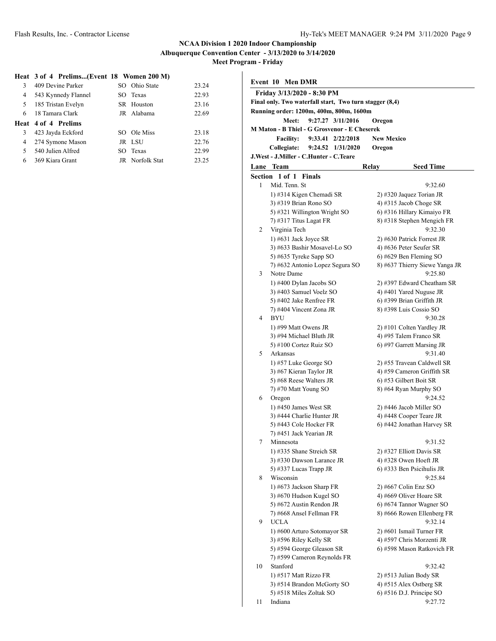**Meet Program - Friday**

### **Heat 3 of 4 Prelims...(Event 18 Women 200 M)**

| 3  | 409 Devine Parker          | SO Ohio State   | 23.24 |
|----|----------------------------|-----------------|-------|
| 4  | 543 Kynnedy Flannel        | SO Texas        | 22.93 |
| 5  | 185 Tristan Evelyn         | SR Houston      | 23.16 |
| 6. | 18 Tamara Clark            | JR Alabama      | 22.69 |
|    | <b>Heat 4 of 4 Prelims</b> |                 |       |
| 3  | 423 Jayda Eckford          | SO Ole Miss     | 23.18 |
| 4  | 274 Symone Mason           | JR LSU          | 22.76 |
| 5  | 540 Julien Alfred          | SO Texas        | 22.99 |
| 6  | 369 Kiara Grant            | JR Norfolk Stat | 23.25 |

| <b>Event 10 Men DMR</b> |                                                         |                                  |  |  |
|-------------------------|---------------------------------------------------------|----------------------------------|--|--|
|                         | Friday 3/13/2020 - 8:30 PM                              |                                  |  |  |
|                         | Final only. Two waterfall start, Two turn stagger (8,4) |                                  |  |  |
|                         | Running order: 1200m, 400m, 800m, 1600m                 |                                  |  |  |
|                         | 9:27.27 3/11/2016<br>Meet:                              | Oregon                           |  |  |
|                         | M Maton - B Thiel - G Grosvenor - E Cheserek            |                                  |  |  |
|                         | <b>Facility:</b><br>$9:33.41$ $2/22/2018$               | <b>New Mexico</b>                |  |  |
|                         | Collegiate:<br>9:24.52 1/31/2020                        | Oregon                           |  |  |
|                         | J.West - J.Miller - C.Hunter - C.Teare                  |                                  |  |  |
| Lane                    | <b>Team</b>                                             | <b>Relay</b><br><b>Seed Time</b> |  |  |
|                         | Section 1 of 1<br><b>Finals</b>                         |                                  |  |  |
| 1                       | Mid. Tenn. St                                           | 9:32.60                          |  |  |
|                         | 1) #314 Kigen Chemadi SR                                | 2) #320 Jaquez Torian JR         |  |  |
|                         | 3) #319 Brian Rono SO                                   | 4) #315 Jacob Choge SR           |  |  |
|                         | 5) #321 Willington Wright SO                            | 6) #316 Hillary Kimaiyo FR       |  |  |
|                         | 7) #317 Titus Lagat FR                                  | 8) #318 Stephen Mengich FR       |  |  |
| 2                       | Virginia Tech                                           | 9:32.30                          |  |  |
|                         | 1) $#631$ Jack Joyce SR                                 | 2) #630 Patrick Forrest JR       |  |  |
|                         | 3) #633 Bashir Mosavel-Lo SO                            | 4) #636 Peter Seufer SR          |  |  |
|                         | 5) #635 Tyreke Sapp SO                                  | $6$ ) #629 Ben Fleming SO        |  |  |
|                         | 7) #632 Antonio Lopez Segura SO                         | 8) #637 Thierry Siewe Yanga JR   |  |  |
| 3                       | Notre Dame                                              | 9:25.80                          |  |  |
|                         | 1) #400 Dylan Jacobs SO                                 | 2) #397 Edward Cheatham SR       |  |  |
|                         | 3) #403 Samuel Voelz SO                                 | 4) #401 Yared Nuguse JR          |  |  |
|                         | 5) #402 Jake Renfree FR                                 | 6) #399 Brian Griffith JR        |  |  |
|                         | 7) #404 Vincent Zona JR                                 | 8) #398 Luis Cossio SO           |  |  |
| 4                       | <b>BYU</b>                                              | 9:30.28                          |  |  |
|                         | 1) #99 Matt Owens JR                                    | 2) #101 Colten Yardley JR        |  |  |
|                         | 3) #94 Michael Bluth JR                                 | 4) #95 Talem Franco SR           |  |  |
|                         | 5) #100 Cortez Ruiz SO                                  | 6) #97 Garrett Marsing JR        |  |  |
| 5                       | Arkansas                                                | 9:31.40                          |  |  |
|                         | 1) #57 Luke George SO                                   | 2) #55 Travean Caldwell SR       |  |  |
|                         | 3) #67 Kieran Taylor JR                                 | 4) #59 Cameron Griffith SR       |  |  |
|                         | 5) #68 Reese Walters JR                                 | 6) #53 Gilbert Boit SR           |  |  |
|                         | 7) #70 Matt Young SO                                    | 8) #64 Ryan Murphy SO            |  |  |
| 6                       | Oregon                                                  | 9:24.52                          |  |  |
|                         | 1) #450 James West SR                                   | 2) #446 Jacob Miller SO          |  |  |
|                         | 3) #444 Charlie Hunter JR                               | 4) #448 Cooper Teare JR          |  |  |
|                         | 5) #443 Cole Hocker FR                                  | 6) #442 Jonathan Harvey SR       |  |  |
|                         | 7) #451 Jack Yearian JR                                 |                                  |  |  |
| 7                       | Minnesota                                               | 9:31.52                          |  |  |
|                         | 1) #335 Shane Streich SR                                | 2) #327 Elliott Davis SR         |  |  |
|                         | 3) #330 Dawson Larance JR                               | 4) #328 Owen Hoeft JR            |  |  |
|                         | 5) #337 Lucas Trapp JR                                  | 6) #333 Ben Psicihulis JR        |  |  |
| 8                       | Wisconsin                                               | 9:25.84                          |  |  |
|                         | 1) #673 Jackson Sharp FR                                | 2) #667 Colin Enz SO             |  |  |
|                         | 3) #670 Hudson Kugel SO                                 | 4) #669 Oliver Hoare SR          |  |  |
|                         | 5) #672 Austin Rendon JR                                | 6) #674 Tannor Wagner SO         |  |  |
|                         | 7) #668 Ansel Fellman FR                                | 8) #666 Rowen Ellenberg FR       |  |  |
| 9                       | <b>UCLA</b>                                             | 9:32.14                          |  |  |
|                         | 1) #600 Arturo Sotomayor SR                             | 2) #601 Ismail Turner FR         |  |  |
|                         | 3) #596 Riley Kelly SR                                  | 4) #597 Chris Morzenti JR        |  |  |
|                         | 5) #594 George Gleason SR                               | 6) #598 Mason Ratkovich FR       |  |  |
|                         | 7) #599 Cameron Reynolds FR                             |                                  |  |  |
| 10                      | Stanford                                                | 9:32.42                          |  |  |
|                         | 1) #517 Matt Rizzo FR                                   | 2) #513 Julian Body SR           |  |  |
|                         | 3) #514 Brandon McGorty SO                              | 4) #515 Alex Ostberg SR          |  |  |
| 11                      | 5) #518 Miles Zoltak SO<br>Indiana                      | 6) #516 D.J. Principe SO         |  |  |
|                         |                                                         | 9:27.72                          |  |  |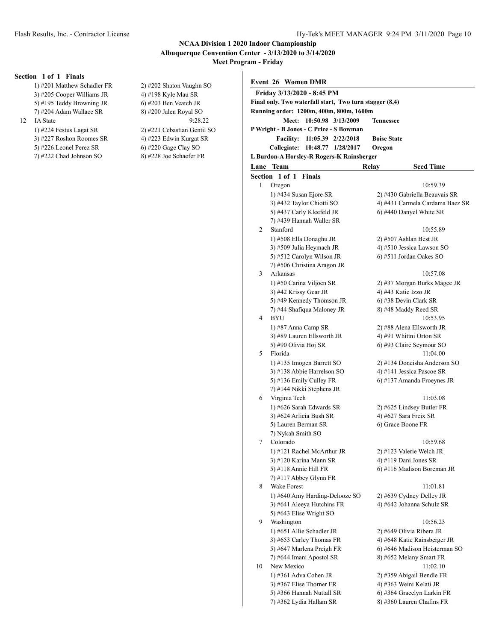#### **NCAA Division 1 2020 Indoor Championship Albuquerque Convention Center - 3/13/2020 to 3/14/2020 Meet Program - Friday**

#### **Section 1 of 1 Finals**

- 1) #201 Matthew Schadler FR 2) #202 Shaton Vaughn SO 3) #205 Cooper Williams JR 4) #198 Kyle Mau SR 5) #195 Teddy Browning JR 6) #203 Ben Veatch JR
- 12 IA State
	-
	- 3) #227 Roshon Roomes SR 4) #223 Edwin Kurgat SR
	-
	- 7) #222 Chad Johnson SO 8) #228 Joe Schaefer FR

7) #204 Adam Wallace SR 8) #200 Jalen Royal SO<br>
1A State 9:28.22 1) #224 Festus Lagat SR 2) #221 Cebastian Gentil SO 5) #226 Leonel Perez SR 6) #220 Gage Clay SO

|    | Event 26 Women DMR                                      |                                 |
|----|---------------------------------------------------------|---------------------------------|
|    | Friday 3/13/2020 - 8:45 PM                              |                                 |
|    | Final only. Two waterfall start, Two turn stagger (8,4) |                                 |
|    | Running order: 1200m, 400m, 800m, 1600m                 |                                 |
|    | 10:50.98 3/13/2009<br><b>Meet:</b>                      | Tennessee                       |
|    | P Wright - B Jones - C Price - S Bowman                 |                                 |
|    | <b>Facility:</b><br>11:05.39 2/22/2018                  | <b>Boise State</b>              |
|    | Collegiate: 10:48.77 1/28/2017                          | Oregon                          |
|    | L Burdon-A Horsley-R Rogers-K Rainsberger               |                                 |
|    | Lane Team                                               | Relay<br>Seed Time              |
|    | Section 1 of 1<br>Finals                                |                                 |
| 1  | Oregon                                                  | 10:59.39                        |
|    | 1) #434 Susan Ejore SR                                  | 2) #430 Gabriella Beauvais SR   |
|    | 3) #432 Taylor Chiotti SO                               | 4) #431 Carmela Cardama Baez SR |
|    | 5) #437 Carly Kleefeld JR                               | 6) #440 Danyel White SR         |
|    | 7) #439 Hannah Waller SR                                |                                 |
| 2  | Stanford                                                | 10:55.89                        |
|    | 1) #508 Ella Donaghu JR                                 | 2) #507 Ashlan Best JR          |
|    | 3) #509 Julia Heymach JR                                | 4) #510 Jessica Lawson SO       |
|    | 5) #512 Carolyn Wilson JR                               | 6) #511 Jordan Oakes SO         |
|    | 7) #506 Christina Aragon JR                             |                                 |
| 3  | Arkansas                                                | 10:57.08                        |
|    | 1) #50 Carina Viljoen SR                                | 2) #37 Morgan Burks Magee JR    |
|    | 3) #42 Krissy Gear JR                                   | 4) #43 Katie Izzo JR            |
|    | 5) #49 Kennedy Thomson JR                               | 6) #38 Devin Clark SR           |
|    | 7) #44 Shafiqua Maloney JR                              | 8) #48 Maddy Reed SR            |
| 4  | <b>BYU</b>                                              | 10:53.95                        |
|    | 1) #87 Anna Camp SR                                     | 2) #88 Alena Ellsworth JR       |
|    | 3) #89 Lauren Ellsworth JR                              | 4) #91 Whittni Orton SR         |
|    | 5) #90 Olivia Hoj SR                                    | 6) #93 Claire Seymour SO        |
| 5  | Florida                                                 | 11:04.00                        |
|    | 1) #135 Imogen Barrett SO                               | 2) #134 Doneisha Anderson SO    |
|    | 3) #138 Abbie Harrelson SO                              | 4) #141 Jessica Pascoe SR       |
|    | 5) #136 Emily Culley FR<br>7) #144 Nikki Stephens JR    | 6) #137 Amanda Froeynes JR      |
| 6  | Virginia Tech                                           | 11:03.08                        |
|    | 1) #626 Sarah Edwards SR                                | 2) #625 Lindsey Butler FR       |
|    | 3) #624 Arlicia Bush SR                                 | 4) #627 Sara Freix SR           |
|    | 5) Lauren Berman SR                                     | 6) Grace Boone FR               |
|    | 7) Nykah Smith SO                                       |                                 |
| 7  | Colorado                                                | 10:59.68                        |
|    | 1) #121 Rachel McArthur JR                              | 2) #123 Valerie Welch JR        |
|    | 3) #120 Karina Mann SR                                  | 4) #119 Dani Jones SR           |
|    | 5) #118 Annie Hill FR                                   | 6) #116 Madison Boreman JR      |
|    | 7) #117 Abbey Glynn FR                                  |                                 |
| 8  | Wake Forest                                             | 11:01.81                        |
|    | 1) #640 Amy Harding-Delooze SO                          | 2) #639 Cydney Delley JR        |
|    | 3) #641 Aleeya Hutchins FR                              | 4) #642 Johanna Schulz SR       |
|    | 5) #643 Elise Wright SO                                 |                                 |
| 9  | Washington                                              | 10:56.23                        |
|    | 1) #651 Allie Schadler JR                               | 2) #649 Olivia Ribera JR        |
|    | 3) #653 Carley Thomas FR                                | 4) #648 Katie Rainsberger JR    |
|    | 5) #647 Marlena Preigh FR                               | 6) #646 Madison Heisterman SO   |
|    | 7) #644 Imani Apostol SR                                | 8) #652 Melany Smart FR         |
| 10 | New Mexico                                              | 11:02.10                        |
|    | 1) #361 Adva Cohen JR                                   | 2) #359 Abigail Bendle FR       |
|    | 3) #367 Elise Thorner FR                                | 4) #363 Weini Kelati JR         |
|    | 5) #366 Hannah Nuttall SR                               | 6) #364 Gracelyn Larkin FR      |

7) #362 Lydia Hallam SR 8) #360 Lauren Chafins FR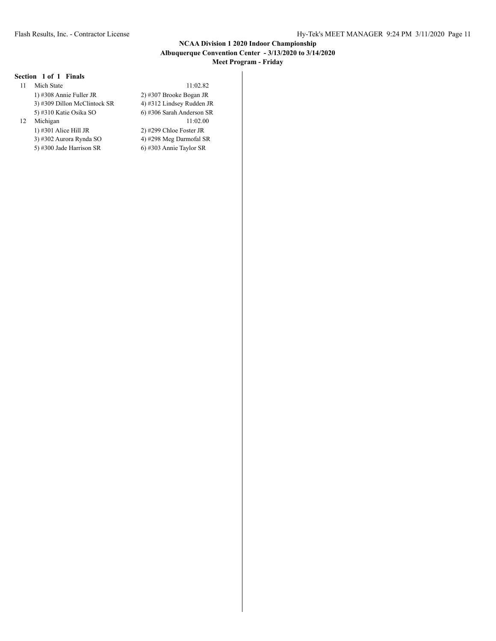### **NCAA Division 1 2020 Indoor Championship Albuquerque Convention Center - 3/13/2020 to 3/14/2020 Meet Program - Friday**

# **Section 1 of 1 Finals**

| 11 | Mich State                     |
|----|--------------------------------|
|    | 1) #308 Annie Fuller JR        |
|    | 3) #309 Dillon McClintock SR   |
|    | 5) #310 Katie Osika SO         |
| 12 | Michigan                       |
|    | 1) $\#301$ Alice Hill JR       |
|    | $2)$ 4202 A $D_{2}$ 4. $D_{1}$ |

5) #300 Jade Harrison SR 6) #303 Annie Taylor SR

11:02.82 2) #307 Brooke Bogan JR 4) #312 Lindsey Rudden JR 6) #306 Sarah Anderson SR  $11:02.00$ 2) #299 Chloe Foster JR 3) #302 Aurora Rynda SO 4) #298 Meg Darmofal SR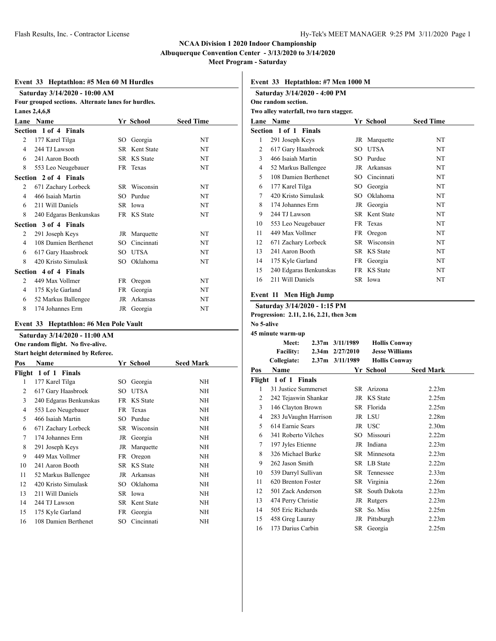**Albuquerque Convention Center - 3/13/2020 to 3/14/2020**

**Meet Program - Saturday**

# **Event 33 Heptathlon: #5 Men 60 M Hurdles Saturday 3/14/2020 - 10:00 AM**

| $64.001$ and $97.1$ $10.00$ $10.00$ $1$ and         |                        |     |               |           |  |  |  |
|-----------------------------------------------------|------------------------|-----|---------------|-----------|--|--|--|
| Four grouped sections. Alternate lanes for hurdles. |                        |     |               |           |  |  |  |
| Lanes 2,4,6,8                                       |                        |     |               |           |  |  |  |
| <b>Seed Time</b><br>Lane Name<br>Yr School          |                        |     |               |           |  |  |  |
|                                                     | Section 1 of 4 Finals  |     |               |           |  |  |  |
| 2                                                   | 177 Karel Tilga        | SO. | Georgia       | NT        |  |  |  |
| 4                                                   | 244 TJ Lawson          |     | SR Kent State | <b>NT</b> |  |  |  |
| 6                                                   | 241 Aaron Booth        |     | SR KS State   | <b>NT</b> |  |  |  |
| 8                                                   | 553 Leo Neugebauer     |     | FR Texas      | NT        |  |  |  |
|                                                     | Section 2 of 4 Finals  |     |               |           |  |  |  |
| $\mathfrak{D}$                                      | 671 Zachary Lorbeck    |     | SR Wisconsin  | <b>NT</b> |  |  |  |
| 4                                                   | 466 Isaiah Martin      |     | SO Purdue     | NT        |  |  |  |
| 6                                                   | 211 Will Daniels       |     | SR Iowa       | <b>NT</b> |  |  |  |
| 8                                                   | 240 Edgaras Benkunskas |     | FR KS State   | <b>NT</b> |  |  |  |
|                                                     | Section 3 of 4 Finals  |     |               |           |  |  |  |
| 2                                                   | 291 Joseph Keys        |     | JR Marquette  | <b>NT</b> |  |  |  |
| 4                                                   | 108 Damien Berthenet   | SO. | Cincinnati    | NT        |  |  |  |
| 6                                                   | 617 Gary Haasbroek     |     | SO UTSA       | <b>NT</b> |  |  |  |
| 8                                                   | 420 Kristo Simulask    |     | SO Oklahoma   | NT        |  |  |  |
|                                                     | Section 4 of 4 Finals  |     |               |           |  |  |  |
| $\overline{c}$                                      | 449 Max Vollmer        |     | FR Oregon     | <b>NT</b> |  |  |  |
| 4                                                   | 175 Kyle Garland       |     | FR Georgia    | <b>NT</b> |  |  |  |
| 6                                                   | 52 Markus Ballengee    | JR  | Arkansas      | NT        |  |  |  |
| 8                                                   | 174 Johannes Erm       |     | JR Georgia    | NT        |  |  |  |

#### **Event 33 Heptathlon: #6 Men Pole Vault**

| Saturday 3/14/2020 - 11:00 AM |                                     |     |                      |                  |  |  |  |  |  |
|-------------------------------|-------------------------------------|-----|----------------------|------------------|--|--|--|--|--|
|                               | One random flight. No five-alive.   |     |                      |                  |  |  |  |  |  |
|                               | Start height determined by Referee. |     |                      |                  |  |  |  |  |  |
| Pos                           | Name                                |     | Yr School            | <b>Seed Mark</b> |  |  |  |  |  |
|                               | Flight 1 of 1 Finals                |     |                      |                  |  |  |  |  |  |
| 1                             | 177 Karel Tilga                     | SО  | Georgia              | NH               |  |  |  |  |  |
| 2                             | 617 Gary Haasbroek                  | SO  | <b>UTSA</b>          | NH               |  |  |  |  |  |
| 3                             | 240 Edgaras Benkunskas              | FR  | <b>KS</b> State      | <b>NH</b>        |  |  |  |  |  |
| 4                             | 553 Leo Neugebauer                  | FR. | Texas                | NH               |  |  |  |  |  |
| 5                             | 466 Isaiah Martin                   | SO  | Purdue               | <b>NH</b>        |  |  |  |  |  |
| 6                             | 671 Zachary Lorbeck                 | SR  | Wisconsin            | <b>NH</b>        |  |  |  |  |  |
| 7                             | 174 Johannes Erm                    | JR  | Georgia              | <b>NH</b>        |  |  |  |  |  |
| 8                             | 291 Joseph Keys                     | JR  | Marquette            | <b>NH</b>        |  |  |  |  |  |
| 9                             | 449 Max Vollmer                     | FR  | Oregon               | <b>NH</b>        |  |  |  |  |  |
| 10                            | 241 Aaron Booth                     |     | SR KS State          | <b>NH</b>        |  |  |  |  |  |
| 11                            | 52 Markus Ballengee                 | JR  | Arkansas             | <b>NH</b>        |  |  |  |  |  |
| 12                            | 420 Kristo Simulask                 | SO  | Oklahoma             | <b>NH</b>        |  |  |  |  |  |
| 13                            | 211 Will Daniels                    |     | SR Iowa              | <b>NH</b>        |  |  |  |  |  |
| 14                            | 244 TJ Lawson                       |     | <b>SR</b> Kent State | NH               |  |  |  |  |  |
| 15                            | 175 Kyle Garland                    | FR  | Georgia              | <b>NH</b>        |  |  |  |  |  |
| 16                            | 108 Damien Berthenet                | SO  | Cincinnati           | NΗ               |  |  |  |  |  |
|                               |                                     |     |                      |                  |  |  |  |  |  |

**Event 33 Heptathlon: #7 Men 1000 M**

| Saturday 3/14/2020 - 4:00 PM |                                        |     |                 |           |  |  |
|------------------------------|----------------------------------------|-----|-----------------|-----------|--|--|
|                              | One random section.                    |     |                 |           |  |  |
|                              | Two alley waterfall, two turn stagger. |     |                 |           |  |  |
|                              | Lane Name                              |     | Yr School       | Seed Time |  |  |
|                              | Section 1 of 1 Finals                  |     |                 |           |  |  |
| 1                            | 291 Joseph Keys                        |     | JR Marquette    | NT        |  |  |
| 2                            | 617 Gary Haasbroek                     | SO  | UTSA            | NT        |  |  |
| 3                            | 466 Isaiah Martin                      | SO. | Purdue          | NT        |  |  |
| 4                            | 52 Markus Ballengee                    |     | JR Arkansas     | NT        |  |  |
| 5                            | 108 Damien Berthenet                   | SO. | Cincinnati      | NT        |  |  |
| 6                            | 177 Karel Tilga                        | SO. | Georgia         | NT        |  |  |
| 7                            | 420 Kristo Simulask                    | SO. | Oklahoma        | NT        |  |  |
| 8                            | 174 Johannes Erm                       |     | JR Georgia      | NT        |  |  |
| 9                            | 244 TJ Lawson                          |     | SR Kent State   | NT        |  |  |
| 10                           | 553 Leo Neugebauer                     |     | FR Texas        | NT        |  |  |
| 11                           | 449 Max Vollmer                        |     | FR Oregon       | NT        |  |  |
| 12                           | 671 Zachary Lorbeck                    | SR  | Wisconsin       | NT        |  |  |
| 13                           | 241 Aaron Booth                        | SR  | <b>KS</b> State | NT        |  |  |
| 14                           | 175 Kyle Garland                       |     | FR Georgia      | NT        |  |  |
| 15                           | 240 Edgaras Benkunskas                 |     | FR KS State     | NT        |  |  |
| 16                           | 211 Will Daniels                       |     | SR Iowa         | NT        |  |  |

### **Event 11 Men High Jump**

**Saturday 3/14/2020 - 1:15 PM**

**Progression: 2.11, 2.16, 2.21, then 3cm**

# **No 5-alive**

|     | 45 minute warm-up     |                     |                       |                   |
|-----|-----------------------|---------------------|-----------------------|-------------------|
|     | Meet:                 | 2.37m 3/11/1989     | <b>Hollis Conway</b>  |                   |
|     | <b>Facility:</b>      | $2.34m$ $2/27/2010$ | <b>Jesse Williams</b> |                   |
|     | Collegiate:           | 2.37m 3/11/1989     | <b>Hollis Conway</b>  |                   |
| Pos | Name                  |                     | Yr School             | <b>Seed Mark</b>  |
|     | Flight 1 of 1 Finals  |                     |                       |                   |
| 1   | 31 Justice Summerset  |                     | SR Arizona            | 2.23 <sub>m</sub> |
| 2   | 242 Tejaswin Shankar  |                     | JR KS State           | 2.25m             |
| 3   | 146 Clayton Brown     |                     | SR Florida            | 2.25m             |
| 4   | 283 JuVaughn Harrison |                     | JR LSU                | 2.28 <sub>m</sub> |
| 5   | 614 Earnie Sears      |                     | JR USC                | 2.30 <sub>m</sub> |
| 6   | 341 Roberto Vilches   | $SO_{-}$            | Missouri              | 2.22m             |
| 7   | 197 Jyles Etienne     |                     | JR Indiana            | 2.23 <sub>m</sub> |
| 8   | 326 Michael Burke     |                     | SR Minnesota          | 2.23 <sub>m</sub> |
| 9   | 262 Jason Smith       |                     | SR LB State           | 2.22m             |
| 10  | 539 Darryl Sullivan   |                     | SR Tennessee          | 2.33 <sub>m</sub> |
| 11  | 620 Brenton Foster    |                     | SR Virginia           | 2.26m             |
| 12  | 501 Zack Anderson     | SR -                | South Dakota          | 2.23 <sub>m</sub> |
| 13  | 474 Perry Christie    | JR                  | Rutgers               | 2.23 <sub>m</sub> |
| 14  | 505 Eric Richards     | SR.                 | So. Miss              | 2.25m             |
| 15  | 458 Greg Lauray       |                     | JR Pittsburgh         | 2.23 <sub>m</sub> |
| 16  | 173 Darius Carbin     |                     | SR Georgia            | 2.25m             |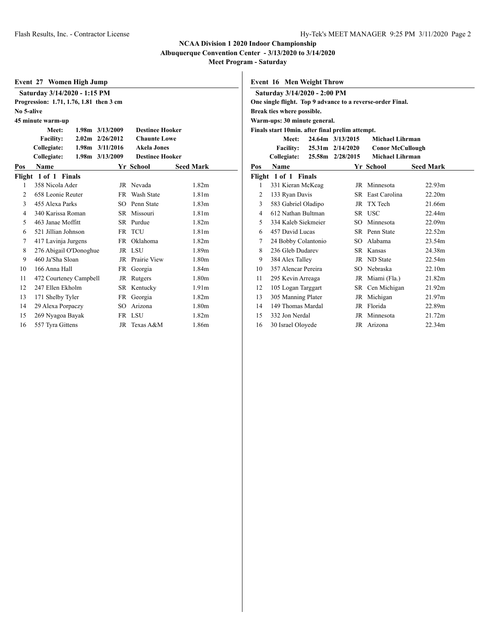**Albuquerque Convention Center - 3/13/2020 to 3/14/2020**

**Meet Program - Saturday**

| Event 27 Women High Jump |  |  |  |  |  |
|--------------------------|--|--|--|--|--|
|--------------------------|--|--|--|--|--|

|                | $E$ , ent $E$ , $\theta$ anea $\theta$ , $\theta$ amp |                     |                        |                   |  |  |  |  |  |
|----------------|-------------------------------------------------------|---------------------|------------------------|-------------------|--|--|--|--|--|
|                | Saturday 3/14/2020 - 1:15 PM                          |                     |                        |                   |  |  |  |  |  |
|                | Progression: 1.71, 1.76, 1.81 then 3 cm               |                     |                        |                   |  |  |  |  |  |
|                | No 5-alive                                            |                     |                        |                   |  |  |  |  |  |
|                | 45 minute warm-up                                     |                     |                        |                   |  |  |  |  |  |
|                | Meet:                                                 | 1.98m 3/13/2009     | <b>Destinee Hooker</b> |                   |  |  |  |  |  |
|                | <b>Facility:</b>                                      | $2.02m$ $2/26/2012$ | <b>Chaunte Lowe</b>    |                   |  |  |  |  |  |
|                | Collegiate:                                           | $1.98m$ $3/11/2016$ | <b>Akela Jones</b>     |                   |  |  |  |  |  |
|                | Collegiate:                                           | 1.98m 3/13/2009     | <b>Destinee Hooker</b> |                   |  |  |  |  |  |
| Pos            | Name                                                  |                     | Yr School              | <b>Seed Mark</b>  |  |  |  |  |  |
|                | Flight 1 of 1 Finals                                  |                     |                        |                   |  |  |  |  |  |
| 1              | 358 Nicola Ader                                       |                     | JR Nevada              | 1.82 <sub>m</sub> |  |  |  |  |  |
| $\mathfrak{D}$ | 658 Leonie Reuter                                     |                     | FR Wash State          | 1.81 <sub>m</sub> |  |  |  |  |  |
| 3              | 455 Alexa Parks                                       | SO.                 | Penn State             | 1.83 <sub>m</sub> |  |  |  |  |  |
| 4              | 340 Karissa Roman                                     |                     | SR Missouri            | 1.81 <sub>m</sub> |  |  |  |  |  |
| 5              | 463 Janae Moffitt                                     |                     | SR Purdue              | 1.82 <sub>m</sub> |  |  |  |  |  |
| 6              | 521 Jillian Johnson                                   |                     | FR TCU                 | 1.81 <sub>m</sub> |  |  |  |  |  |
| 7              | 417 Lavinja Jurgens                                   | FR 1                | Oklahoma               | 1.82m             |  |  |  |  |  |
| 8              | 276 Abigail O'Donoghue                                |                     | JR LSU                 | 1.89m             |  |  |  |  |  |
| 9              | 460 Ja'Sha Sloan                                      | JR                  | Prairie View           | 1.80 <sub>m</sub> |  |  |  |  |  |
| 10             | 166 Anna Hall                                         | FR 1                | Georgia                | 1.84 <sub>m</sub> |  |  |  |  |  |
| 11             | 472 Courteney Campbell                                | JR                  | Rutgers                | 1.80 <sub>m</sub> |  |  |  |  |  |
| 12             | 247 Ellen Ekholm                                      | SR.                 | Kentucky               | 1.91 <sub>m</sub> |  |  |  |  |  |
| 13             | 171 Shelby Tyler                                      | FR                  | Georgia                | 1.82 <sub>m</sub> |  |  |  |  |  |
| 14             | 29 Alexa Porpaczy                                     | SO                  | Arizona                | 1.80m             |  |  |  |  |  |
| 15             | 269 Nyagoa Bayak                                      |                     | FR LSU                 | 1.82m             |  |  |  |  |  |
| 16             | 557 Tvra Gittens                                      | JR                  | Texas A&M              | 1.86m             |  |  |  |  |  |

**Event 16 Men Weight Throw**

|                            | Saturday 3/14/2020 - 2:00 PM                    |  |                  |                                                            |                    |  |  |  |  |
|----------------------------|-------------------------------------------------|--|------------------|------------------------------------------------------------|--------------------|--|--|--|--|
|                            |                                                 |  |                  | One single flight. Top 9 advance to a reverse-order Final. |                    |  |  |  |  |
| Break ties where possible. |                                                 |  |                  |                                                            |                    |  |  |  |  |
|                            | Warm-ups: 30 minute general.                    |  |                  |                                                            |                    |  |  |  |  |
|                            | Finals start 10min. after final prelim attempt. |  |                  |                                                            |                    |  |  |  |  |
|                            | Meet:                                           |  | 24.64m 3/13/2015 | Michael Lihrman                                            |                    |  |  |  |  |
|                            | <b>Facility:</b>                                |  | 25.31m 2/14/2020 | <b>Conor McCullough</b>                                    |                    |  |  |  |  |
|                            | Collegiate:                                     |  | 25.58m 2/28/2015 | <b>Michael Lihrman</b>                                     |                    |  |  |  |  |
| Pos                        | Name                                            |  |                  | Yr School                                                  | <b>Seed Mark</b>   |  |  |  |  |
|                            | Flight 1 of 1 Finals                            |  |                  |                                                            |                    |  |  |  |  |
| 1                          | 331 Kieran McKeag                               |  |                  | JR Minnesota                                               | 22.93 <sub>m</sub> |  |  |  |  |
| 2                          | 133 Ryan Davis                                  |  |                  | SR East Carolina                                           | 22.20m             |  |  |  |  |
| 3                          | 583 Gabriel Oladipo                             |  |                  | JR TX Tech                                                 | 21.66m             |  |  |  |  |
| 4                          | 612 Nathan Bultman                              |  |                  | SR USC                                                     | 22.44m             |  |  |  |  |
| 5                          | 334 Kaleb Siekmeier                             |  |                  | SO Minnesota                                               | 22.09m             |  |  |  |  |
| 6                          | 457 David Lucas                                 |  |                  | SR Penn State                                              | 22.52m             |  |  |  |  |
| 7                          | 24 Bobby Colantonio                             |  |                  | SO Alabama                                                 | 23.54m             |  |  |  |  |
| 8                          | 236 Gleb Dudarev                                |  |                  | SR Kansas                                                  | 24.38m             |  |  |  |  |
| 9                          | 384 Alex Talley                                 |  |                  | JR ND State                                                | 22.54m             |  |  |  |  |
| 10                         | 357 Alencar Pereira                             |  |                  | SO Nebraska                                                | 22.10m             |  |  |  |  |
| 11                         | 295 Kevin Arreaga                               |  |                  | JR Miami (Fla.)                                            | 21.82m             |  |  |  |  |
| 12                         | 105 Logan Targgart                              |  |                  | SR Cen Michigan                                            | 21.92m             |  |  |  |  |
| 13                         | 305 Manning Plater                              |  |                  | JR Michigan                                                | 21.97m             |  |  |  |  |
| 14                         | 149 Thomas Mardal                               |  |                  | JR Florida                                                 | 22.89m             |  |  |  |  |
| 15                         | 332 Jon Nerdal                                  |  |                  | JR Minnesota                                               | 21.72m             |  |  |  |  |
| 16                         | 30 Israel Oloyede                               |  |                  | JR Arizona                                                 | 22.34m             |  |  |  |  |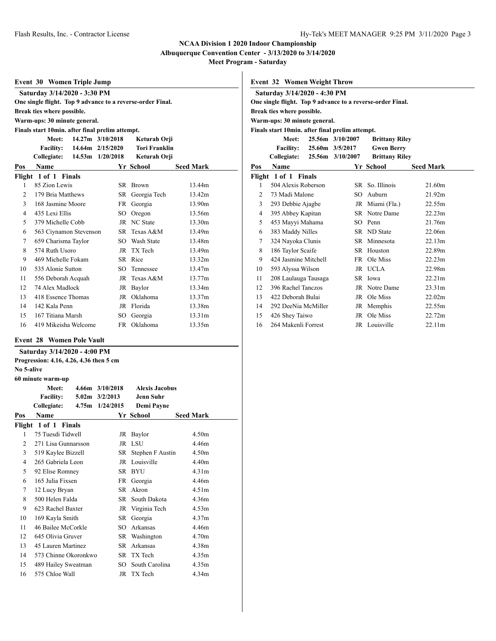**Albuquerque Convention Center - 3/13/2020 to 3/14/2020**

**Meet Program - Saturday**

|                | <b>Event 30 Women Triple Jump</b>                          |        |                  |                      |                  |  |  |  |
|----------------|------------------------------------------------------------|--------|------------------|----------------------|------------------|--|--|--|
|                | Saturday 3/14/2020 - 3:30 PM                               |        |                  |                      |                  |  |  |  |
|                | One single flight. Top 9 advance to a reverse-order Final. |        |                  |                      |                  |  |  |  |
|                | Break ties where possible.                                 |        |                  |                      |                  |  |  |  |
|                | Warm-ups: 30 minute general.                               |        |                  |                      |                  |  |  |  |
|                | Finals start 10min. after final prelim attempt.            |        |                  |                      |                  |  |  |  |
|                | Meet:                                                      |        | 14.27m 3/10/2018 | Keturah Orji         |                  |  |  |  |
|                | <b>Facility:</b>                                           |        | 14.64m 2/15/2020 | <b>Tori Franklin</b> |                  |  |  |  |
|                | Collegiate:                                                | 14.53m | 1/20/2018        | Keturah Orji         |                  |  |  |  |
| Pos            | <b>Name</b>                                                |        |                  | Yr School            | <b>Seed Mark</b> |  |  |  |
|                | Flight 1 of 1 Finals                                       |        |                  |                      |                  |  |  |  |
| 1              | 85 Zion Lewis                                              |        |                  | SR Brown             | 13.44m           |  |  |  |
| $\mathfrak{D}$ | 179 Bria Matthews                                          |        |                  | SR Georgia Tech      | 13.42m           |  |  |  |
| 3              | 168 Jasmine Moore                                          |        |                  | FR Georgia           | 13.90m           |  |  |  |
| $\overline{4}$ | 435 Lexi Ellis                                             |        | SO               | Oregon               | 13.56m           |  |  |  |
| 5              | 379 Michelle Cobb                                          |        |                  | JR NC State          | 13.30m           |  |  |  |
| 6              | 563 Ciynamon Stevenson                                     |        |                  | SR Texas A&M         | 13.49m           |  |  |  |
| 7              | 659 Charisma Taylor                                        |        |                  | SO Wash State        | 13.48m           |  |  |  |
| 8              | 574 Ruth Usoro                                             |        |                  | JR TX Tech           | 13.49m           |  |  |  |
| 9              | 469 Michelle Fokam                                         |        |                  | SR Rice              | 13.32m           |  |  |  |
| 10             | 535 Alonie Sutton                                          |        | SO.              | Tennessee            | 13.47m           |  |  |  |
| 11             | 556 Deborah Acquah                                         |        | JR               | Texas A&M            | 13.77m           |  |  |  |
| 12             | 74 Alex Madlock                                            |        |                  | JR Baylor            | 13.34m           |  |  |  |
| 13             | 418 Essence Thomas                                         |        |                  | JR Oklahoma          | 13.37m           |  |  |  |
| 14             | 142 Kala Penn                                              |        |                  | JR Florida           | 13.38m           |  |  |  |
| 15             | 167 Titiana Marsh                                          |        | SO               | Georgia              | 13.31m           |  |  |  |
| 16             | 419 Mikeisha Welcome                                       |        |                  | FR Oklahoma          | 13.35m           |  |  |  |

### **Event 28 Women Pole Vault**

| Saturday 3/14/2020 - 4:00 PM |                                         |  |                      |                       |                   |  |  |
|------------------------------|-----------------------------------------|--|----------------------|-----------------------|-------------------|--|--|
|                              | Progression: 4.16, 4.26, 4.36 then 5 cm |  |                      |                       |                   |  |  |
| No 5-alive                   |                                         |  |                      |                       |                   |  |  |
|                              | 60 minute warm-up                       |  |                      |                       |                   |  |  |
|                              | Meet:                                   |  | $4.66$ m $3/10/2018$ | <b>Alexis Jacobus</b> |                   |  |  |
|                              | <b>Facility:</b>                        |  | $5.02m$ $3/2/2013$   | Jenn Suhr             |                   |  |  |
|                              | Collegiate:                             |  | 4.75m 1/24/2015      | Demi Payne            |                   |  |  |
| Pos                          | <b>Name</b>                             |  |                      | Yr School             | <b>Seed Mark</b>  |  |  |
|                              | Flight 1 of 1 Finals                    |  |                      |                       |                   |  |  |
| 1                            | 75 Tuesdi Tidwell                       |  |                      | JR Baylor             | 4.50 <sub>m</sub> |  |  |
| 2                            | 271 Lisa Gunnarsson                     |  | JR                   | <b>LSU</b>            | 4.46m             |  |  |
| 3                            | 519 Kaylee Bizzell                      |  |                      | SR Stephen F Austin   | 4.50 <sub>m</sub> |  |  |
| $\overline{4}$               | 265 Gabriela Leon                       |  |                      | JR Louisville         | 4.40m             |  |  |
| 5                            | 92 Elise Romney                         |  |                      | SR BYU                | 4.31 <sub>m</sub> |  |  |
| 6                            | 165 Julia Fixsen                        |  |                      | FR Georgia            | 4.46m             |  |  |
| 7                            | 12 Lucy Bryan                           |  | SR.                  | Akron                 | 4.51 <sub>m</sub> |  |  |
| 8                            | 500 Helen Falda                         |  |                      | SR South Dakota       | 4.36m             |  |  |
| 9                            | 623 Rachel Baxter                       |  |                      | JR Virginia Tech      | 4.53m             |  |  |
| 10                           | 169 Kayla Smith                         |  | SR                   | Georgia               | 4.37m             |  |  |
| 11                           | 46 Bailee McCorkle                      |  | $SO^-$               | Arkansas              | 4.46m             |  |  |
| 12                           | 645 Olivia Gruver                       |  |                      | SR Washington         | 4.70 <sub>m</sub> |  |  |
| 13                           | 45 Lauren Martinez                      |  | SR.                  | Arkansas              | 4.38m             |  |  |
| 14                           | 573 Chinne Okoronkwo                    |  |                      | SR TX Tech            | 4.35m             |  |  |
| 15                           | 489 Hailey Sweatman                     |  | SO.                  | South Carolina        | 4.35m             |  |  |
| 16                           | 575 Chloe Wall                          |  |                      | JR TX Tech            | 4.34m             |  |  |
|                              |                                         |  |                      |                       |                   |  |  |

#### **Event 32 Women Weight Throw Saturday 3/14/2020 - 4:30 PM**

|                | Saturday 3/14/2020 - 4:30 PM                               |                  |                       |                  |  |  |  |  |  |
|----------------|------------------------------------------------------------|------------------|-----------------------|------------------|--|--|--|--|--|
|                | One single flight. Top 9 advance to a reverse-order Final. |                  |                       |                  |  |  |  |  |  |
|                | Break ties where possible.                                 |                  |                       |                  |  |  |  |  |  |
|                | Warm-ups: 30 minute general.                               |                  |                       |                  |  |  |  |  |  |
|                | Finals start 10min. after final prelim attempt.            |                  |                       |                  |  |  |  |  |  |
|                | Meet:                                                      | 25.56m 3/10/2007 | <b>Brittany Riley</b> |                  |  |  |  |  |  |
|                | <b>Facility:</b>                                           | 25.60m 3/5/2017  | <b>Gwen Berry</b>     |                  |  |  |  |  |  |
|                | Collegiate:                                                | 25.56m 3/10/2007 | <b>Brittany Riley</b> |                  |  |  |  |  |  |
| Pos            | <b>Name</b>                                                |                  | Yr School             | <b>Seed Mark</b> |  |  |  |  |  |
|                | Flight 1 of 1 Finals                                       |                  |                       |                  |  |  |  |  |  |
| 1              | 504 Alexis Roberson                                        |                  | SR So. Illinois       | 21.60m           |  |  |  |  |  |
| $\overline{2}$ | 73 Madi Malone                                             | $SO^-$           | Auburn                | 21.92m           |  |  |  |  |  |
| 3              | 293 Debbie Ajagbe                                          |                  | JR Miami (Fla.)       | 22.55m           |  |  |  |  |  |
| 4              | 395 Abbey Kapitan                                          |                  | SR Notre Dame         | 22.23m           |  |  |  |  |  |
| 5              | 453 Mayyi Mahama                                           |                  | SO Penn               | 21.76m           |  |  |  |  |  |
| 6              | 383 Maddy Nilles                                           |                  | SR ND State           | 22.06m           |  |  |  |  |  |
| 7              | 324 Nayoka Clunis                                          |                  | SR Minnesota          | 22.13m           |  |  |  |  |  |
| 8              | 186 Taylor Scaife                                          |                  | SR Houston            | 22.89m           |  |  |  |  |  |
| 9              | 424 Jasmine Mitchell                                       |                  | FR Ole Miss           | 22.23m           |  |  |  |  |  |
| 10             | 593 Alyssa Wilson                                          |                  | JR UCLA               | 22.98m           |  |  |  |  |  |
| 11             | 208 Laulauga Tausaga                                       |                  | SR Iowa               | 22.21m           |  |  |  |  |  |
| 12             | 396 Rachel Tanczos                                         |                  | JR Notre Dame         | 23.31m           |  |  |  |  |  |
| 13             | 422 Deborah Bulai                                          |                  | JR Ole Miss           | 22.02m           |  |  |  |  |  |
| 14             | 292 DeeNia McMiller                                        |                  | JR Memphis            | 22.55m           |  |  |  |  |  |
| 15             | 426 Shey Taiwo                                             |                  | JR Ole Miss           | 22.72m           |  |  |  |  |  |
| 16             | 264 Makenli Forrest                                        |                  | JR Louisville         | 22.11m           |  |  |  |  |  |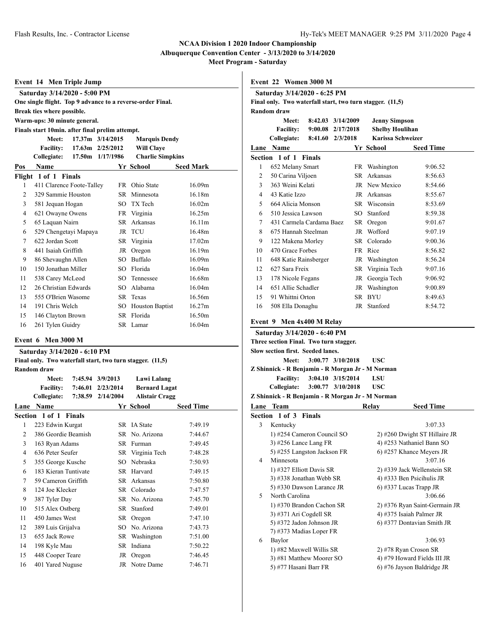**Albuquerque Convention Center - 3/13/2020 to 3/14/2020**

**Meet Program - Saturday**

| Event 14 Men Triple Jump                                   |                                                 |  |                            |                         |                  |
|------------------------------------------------------------|-------------------------------------------------|--|----------------------------|-------------------------|------------------|
|                                                            | Saturday 3/14/2020 - 5:00 PM                    |  |                            |                         |                  |
| One single flight. Top 9 advance to a reverse-order Final. |                                                 |  |                            |                         |                  |
|                                                            | Break ties where possible.                      |  |                            |                         |                  |
|                                                            | Warm-ups: 30 minute general.                    |  |                            |                         |                  |
|                                                            | Finals start 10min. after final prelim attempt. |  |                            |                         |                  |
|                                                            | Meet:                                           |  | 17.37m 3/14/2015           | <b>Marquis Dendy</b>    |                  |
|                                                            |                                                 |  | Facility: 17.63m 2/25/2012 | <b>Will Clave</b>       |                  |
|                                                            | Collegiate:                                     |  | 17.50m 1/17/1986           | <b>Charlie Simpkins</b> |                  |
| Pos                                                        | <b>Name</b>                                     |  |                            | Yr School               | <b>Seed Mark</b> |
|                                                            | Flight 1 of 1 Finals                            |  |                            |                         |                  |
| 1                                                          | 411 Clarence Foote-Talley                       |  |                            | FR Ohio State           | 16.09m           |
| $\overline{c}$                                             | 329 Sammie Houston                              |  | SR.                        | Minnesota               | 16.18m           |
| 3                                                          | 581 Jequan Hogan                                |  | $SO^-$                     | TX Tech                 | 16.02m           |
| $\overline{4}$                                             | 621 Owayne Owens                                |  |                            | FR Virginia             | 16.25m           |
| 5                                                          | 65 Laquan Nairn                                 |  | SR.                        | Arkansas                | 16.11m           |
| 6                                                          | 529 Chengetayi Mapaya                           |  | <b>JR</b>                  | <b>TCU</b>              | 16.48m           |
| 7                                                          | 622 Jordan Scott                                |  | SR.                        | Virginia                | 17.02m           |
| 8                                                          | 441 Isaiah Griffith                             |  | JR                         | Oregon                  | 16.19m           |
| 9                                                          | 86 Shevaughn Allen                              |  | SO.                        | Buffalo                 | 16.09m           |
| 10                                                         | 150 Jonathan Miller                             |  |                            | SO Florida              | 16.04m           |
| 11                                                         | 538 Carey McLeod                                |  | SO.                        | Tennessee               | 16.68m           |
| 12                                                         | 26 Christian Edwards                            |  | SO.                        | Alabama                 | 16.04m           |
| 13                                                         | 555 O'Brien Wasome                              |  |                            | SR Texas                | 16.56m           |
| 14                                                         | 191 Chris Welch                                 |  | SO                         | <b>Houston Baptist</b>  | 16.27m           |
| 15                                                         | 146 Clayton Brown                               |  | SR                         | Florida                 | 16.50m           |
| 16                                                         | 261 Tylen Guidry                                |  |                            | SR Lamar                | 16.04m           |

#### **Event 6 Men 3000 M**

#### **Saturday 3/14/2020 - 6:10 PM Final only. Two waterfall start, two turn stagger. (11,5)**

| Thiai only. Two wall had start, two turn stagger. |  |  |  |
|---------------------------------------------------|--|--|--|
| Random draw                                       |  |  |  |

|      | Meet:<br><b>Facility:</b><br>Collegiate: | 7:45.94 | 3/9/2013<br>7:46.01 2/23/2014<br>7:38.59 2/14/2004 | Lawi Lalang<br><b>Bernard Lagat</b><br><b>Alistair Cragg</b> |                  |
|------|------------------------------------------|---------|----------------------------------------------------|--------------------------------------------------------------|------------------|
| Lane | Name                                     |         |                                                    | Yr School                                                    | <b>Seed Time</b> |
|      | Section 1 of 1 Finals                    |         |                                                    |                                                              |                  |
| 1    | 223 Edwin Kurgat                         |         |                                                    | SR IA State                                                  | 7:49.19          |
| 2    | 386 Geordie Beamish                      |         |                                                    | SR No. Arizona                                               | 7:44.67          |
| 3    | 163 Ryan Adams                           |         | SR.                                                | Furman                                                       | 7:49.45          |
| 4    | 636 Peter Seufer                         |         |                                                    | SR Virginia Tech                                             | 7:48.28          |
| 5    | 355 George Kusche                        |         | SO.                                                | Nebraska                                                     | 7:50.93          |
| 6    | 183 Kieran Tuntivate                     |         | SR.                                                | Harvard                                                      | 7:49.15          |
| 7    | 59 Cameron Griffith                      |         | SR.                                                | Arkansas                                                     | 7:50.80          |
| 8    | 124 Joe Klecker                          |         | SR.                                                | Colorado                                                     | 7:47.57          |
| 9    | 387 Tyler Day                            |         |                                                    | SR No. Arizona                                               | 7:45.70          |
| 10   | 515 Alex Ostberg                         |         | SR                                                 | Stanford                                                     | 7:49.01          |
| 11   | 450 James West                           |         | SR                                                 | Oregon                                                       | 7:47.10          |
| 12   | 389 Luis Grijalva                        |         | SO.                                                | No. Arizona                                                  | 7:43.73          |
| 13   | 655 Jack Rowe                            |         | SR                                                 | Washington                                                   | 7:51.00          |
| 14   | 198 Kyle Mau                             |         | SR                                                 | Indiana                                                      | 7:50.22          |
| 15   | 448 Cooper Teare                         |         | JR                                                 | Oregon                                                       | 7:46.45          |
| 16   | 401 Yared Nuguse                         |         | JR                                                 | Notre Dame                                                   | 7:46.71          |
|      |                                          |         |                                                    |                                                              |                  |

| Event 22 Women 3000 M |                                                           |         |                   |                        |                  |
|-----------------------|-----------------------------------------------------------|---------|-------------------|------------------------|------------------|
|                       | Saturday 3/14/2020 - 6:25 PM                              |         |                   |                        |                  |
|                       | Final only. Two waterfall start, two turn stagger. (11,5) |         |                   |                        |                  |
|                       | Random draw                                               |         |                   |                        |                  |
|                       | Meet:                                                     |         | 8:42.03 3/14/2009 | <b>Jenny Simpson</b>   |                  |
|                       | <b>Facility:</b>                                          | 9:00.08 | 2/17/2018         | <b>Shelby Houlihan</b> |                  |
|                       | Collegiate:                                               | 8:41.60 | 2/3/2018          | Karissa Schweizer      |                  |
| Lane                  | <b>Name</b>                                               |         |                   | Yr School              | <b>Seed Time</b> |
|                       | Section 1 of 1 Finals                                     |         |                   |                        |                  |
| 1                     | 652 Melany Smart                                          |         | FR                | Washington             | 9:06.52          |
| 2                     | 50 Carina Viljoen                                         |         | SR.               | Arkansas               | 8:56.63          |
| 3                     | 363 Weini Kelati                                          |         | JR.               | New Mexico             | 8:54.66          |
| 4                     | 43 Katie Izzo                                             |         | JR                | Arkansas               | 8:55.67          |
| 5                     | 664 Alicia Monson                                         |         | SR                | Wisconsin              | 8:53.69          |
| 6                     | 510 Jessica Lawson                                        |         | SO.               | Stanford               | 8:59.38          |
| 7                     | 431 Carmela Cardama Baez                                  |         | SR                | Oregon                 | 9:01.67          |
| 8                     | 675 Hannah Steelman                                       |         | JR                | Wofford                | 9:07.19          |
| 9                     | 122 Makena Morley                                         |         | SR                | Colorado               | 9:00.36          |
| 10                    | 470 Grace Forbes                                          |         | FR                | Rice                   | 8:56.82          |
| 11                    | 648 Katie Rainsberger                                     |         | JR                | Washington             | 8:56.24          |
| 12                    | 627 Sara Freix                                            |         | SR                | Virginia Tech          | 9:07.16          |
| 13                    | 178 Nicole Fegans                                         |         | JR                | Georgia Tech           | 9:06.92          |
| 14                    | 651 Allie Schadler                                        |         | JR                | Washington             | 9:00.89          |

15 91 Whittni Orton SR BYU 8:49.63 16 508 Ella Donaghu JR Stanford 8:54.72

# **Event 9 Men 4x400 M Relay**

|                                        | EVENT 9 MEN 4X400 M REIAV                        |                               |                           |  |  |  |  |
|----------------------------------------|--------------------------------------------------|-------------------------------|---------------------------|--|--|--|--|
|                                        | Saturday 3/14/2020 - 6:40 PM                     |                               |                           |  |  |  |  |
| Three section Final. Two turn stagger. |                                                  |                               |                           |  |  |  |  |
|                                        | Slow section first. Seeded lanes.                |                               |                           |  |  |  |  |
| 3:00.77 3/10/2018<br>Meet:<br>USC      |                                                  |                               |                           |  |  |  |  |
|                                        | Z Shinnick - R Benjamin - R Morgan Jr - M Norman |                               |                           |  |  |  |  |
|                                        | 3:04.10 3/15/2014<br><b>Facility:</b>            | <b>LSU</b>                    |                           |  |  |  |  |
|                                        | Collegiate:<br>3:00.77 3/10/2018                 | USC                           |                           |  |  |  |  |
|                                        | Z Shinnick - R Benjamin - R Morgan Jr - M Norman |                               |                           |  |  |  |  |
|                                        | Lane Team                                        | Relay                         | <b>Seed Time</b>          |  |  |  |  |
|                                        | Section 1 of 3 Finals                            |                               |                           |  |  |  |  |
| 3                                      | Kentucky                                         |                               | 3:07.33                   |  |  |  |  |
|                                        | 1) #254 Cameron Council SO                       | 2) #260 Dwight ST Hillaire JR |                           |  |  |  |  |
|                                        | 3) #256 Lance Lang FR                            | 4) #253 Nathaniel Bann SO     |                           |  |  |  |  |
|                                        | 5) #255 Langston Jackson FR                      | 6) #257 Khance Meyers JR      |                           |  |  |  |  |
| 4                                      | Minnesota                                        |                               | 3:07.16                   |  |  |  |  |
|                                        | 1) #327 Elliott Davis SR                         | 2) #339 Jack Wellenstein SR   |                           |  |  |  |  |
|                                        | 3) #338 Jonathan Webb SR                         |                               | 4) #333 Ben Psicihulis JR |  |  |  |  |
|                                        | 5) #330 Dawson Larance JR                        | $(6)$ #337 Lucas Trapp JR     |                           |  |  |  |  |
| 5                                      | North Carolina                                   |                               | 3:06.66                   |  |  |  |  |
|                                        | 1) #370 Brandon Cachon SR                        | 2) #376 Ryan Saint-Germain JR |                           |  |  |  |  |
|                                        | 3) #371 Ari Cogdell SR                           | 4) #375 Isaiah Palmer JR      |                           |  |  |  |  |
|                                        | 5) #372 Jadon Johnson JR                         | 6) #377 Dontavian Smith JR    |                           |  |  |  |  |
|                                        | 7) #373 Madias Loper FR                          |                               |                           |  |  |  |  |
| 6                                      | Baylor                                           |                               | 3:06.93                   |  |  |  |  |
|                                        | 1) #82 Maxwell Willis SR                         | 2) #78 Ryan Croson SR         |                           |  |  |  |  |
|                                        | 3) #81 Matthew Moorer SO                         | 4) #79 Howard Fields III JR   |                           |  |  |  |  |
|                                        | 5) #77 Hasani Barr FR                            | 6) #76 Jayson Baldridge JR    |                           |  |  |  |  |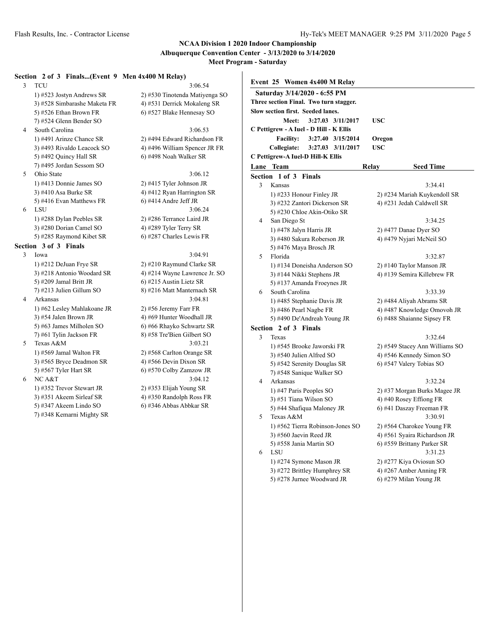**Albuquerque Convention Center - 3/13/2020 to 3/14/2020**

**Meet Program - Saturday**

#### **Section 2 of 3 Finals...(Event 9 Men 4x400 M Relay)**

3 TCU 3:06.54 1) #523 Jostyn Andrews SR 2) #530 Tinotenda Matiyenga SO 3) #528 Simbarashe Maketa FR 4) #531 Derrick Mokaleng SR 5) #526 Ethan Brown FR 6) #527 Blake Hennesay SO 7) #524 Glenn Bender SO 4 South Carolina 3:06.53 1) #491 Arinze Chance SR 2) #494 Edward Richardson FR 3) #493 Rivaldo Leacock SO 4) #496 William Spencer JR FR 5) #492 Quincy Hall SR 6) #498 Noah Walker SR 7) #495 Jordan Sessom SO 5 Ohio State 3:06.12 1) #413 Donnie James SO 2) #415 Tyler Johnson JR 3) #410 Asa Burke SR  $\qquad \qquad$  4) #412 Ryan Harrington SR 5) #416 Evan Matthews FR 6) #414 Andre Jeff JR 6 LSU 3:06.24 1) #288 Dylan Peebles SR 2) #286 Terrance Laird JR 3) #280 Dorian Camel SO 4) #289 Tyler Terry SR 5) #285 Raymond Kibet SR 6) #287 Charles Lewis FR

#### **Section 3 of 3 Finals**

- 3 Iowa 3:04.91 1) #212 DeJuan Frye SR 2) #210 Raymund Clarke SR 5) #209 Jamal Britt JR  $\qquad$  6) #215 Austin Lietz SR 7) #213 Julien Gillum SO 8) #216 Matt Manternach SR 4 Arkansas 3:04.81 1) #62 Lesley Mahlakoane JR 2) #56 Jeremy Farr FR 3) #54 Jalen Brown JR  $4$ ) #69 Hunter Woodhall JR 5) #63 James Milholen SO 6) #66 Rhayko Schwartz SR 7) #61 Tylin Jackson FR 8) #58 Tre'Bien Gilbert SO 5 Texas A&M 3:03.21 1) #569 Jamal Walton FR 2) #568 Carlton Orange SR 3) #565 Bryce Deadmon SR  $\qquad \qquad$  4) #566 Devin Dixon SR
- - 1) #352 Trevor Stewart JR 2) #353 Elijah Young SR 3) #351 Akeem Sirleaf SR 4) #350 Randolph Ross FR 5) #347 Akeem Lindo SO 6) #346 Abbas Abbkar SR 7) #348 Kemarni Mighty SR

3) #218 Antonio Woodard SR 4) #214 Wayne Lawrence Jr. SO 5) #567 Tyler Hart SR 6) #570 Colby Zamzow JR 6 NC A&T 3:04.12

|   | Event 25 Women 4x400 M Relay            |                                |  |  |
|---|-----------------------------------------|--------------------------------|--|--|
|   | Saturday 3/14/2020 - 6:55 PM            |                                |  |  |
|   | Three section Final. Two turn stagger.  |                                |  |  |
|   | Slow section first. Seeded lanes.       |                                |  |  |
|   | Meet:<br>3:27.03 3/11/2017              | <b>USC</b>                     |  |  |
|   | C Pettigrew - A Iuel - D Hill - K Ellis |                                |  |  |
|   | <b>Facility:</b><br>3:27.40 3/15/2014   | Oregon                         |  |  |
|   | Collegiate:<br>3:27.03 3/11/2017        | <b>USC</b>                     |  |  |
|   | C Pettigrew-A Iuel-D Hill-K Ellis       |                                |  |  |
|   | Lane Team                               | <b>Seed Time</b><br>Relay      |  |  |
|   | Section 1 of 3<br><b>Finals</b>         |                                |  |  |
| 3 | Kansas                                  | 3:34.41                        |  |  |
|   | 1) #233 Honour Finley JR                | 2) #234 Mariah Kuykendoll SR   |  |  |
|   | 3) #232 Zantori Dickerson SR            | 4) #231 Jedah Caldwell SR      |  |  |
|   | 5) #230 Chloe Akin-Otiko SR             |                                |  |  |
| 4 | San Diego St                            | 3:34.25                        |  |  |
|   | 1) #478 Jalyn Harris JR                 | 2) #477 Danae Dyer SO          |  |  |
|   | 3) #480 Sakura Roberson JR              | 4) #479 Nyjari McNeil SO       |  |  |
|   | 5) #476 Maya Brosch JR                  |                                |  |  |
| 5 | Florida                                 | 3:32.87                        |  |  |
|   | 1) #134 Doneisha Anderson SO            | 2) #140 Taylor Manson JR       |  |  |
|   | 3) #144 Nikki Stephens JR               | 4) #139 Semira Killebrew FR    |  |  |
|   | 5) #137 Amanda Froeynes JR              |                                |  |  |
| 6 | South Carolina                          | 3:33.39                        |  |  |
|   | 1) #485 Stephanie Davis JR              | 2) #484 Aliyah Abrams SR       |  |  |
|   | 3) #486 Pearl Nagbe FR                  | 4) #487 Knowledge Omovoh JR    |  |  |
|   | 5) #490 De'Andreah Young JR             | 6) #488 Shaianne Sipsey FR     |  |  |
|   | Section 2 of 3 Finals                   |                                |  |  |
| 3 | Texas                                   | 3:32.64                        |  |  |
|   | 1) #545 Brooke Jaworski FR              | 2) #549 Stacey Ann Williams SO |  |  |
|   | 3) #540 Julien Alfred SO                | 4) #546 Kennedy Simon SO       |  |  |
|   | 5) #542 Serenity Douglas SR             | 6) #547 Valery Tobias SO       |  |  |
|   | 7) #548 Sanique Walker SO               |                                |  |  |
| 4 | Arkansas                                | 3:32.24                        |  |  |
|   | 1) #47 Paris Peoples SO                 | 2) #37 Morgan Burks Magee JR   |  |  |
|   | 3) #51 Tiana Wilson SO                  | 4) #40 Rosey Effiong FR        |  |  |
|   | 5) #44 Shafiqua Maloney JR              | 6) #41 Daszay Freeman FR       |  |  |
| 5 | Texas A&M                               | 3:30.91                        |  |  |
|   | 1) #562 Tierra Robinson-Jones SO        | 2) #564 Charokee Young FR      |  |  |
|   | 3) #560 Jaevin Reed JR                  | 4) #561 Syaira Richardson JR   |  |  |
|   | 5) #558 Jania Martin SO                 | 6) #559 Brittany Parker SR     |  |  |
| 6 | LSU                                     | 3:31.23                        |  |  |
|   | 1) #274 Symone Mason JR                 | 2) #277 Kiya Oviosun SO        |  |  |
|   | 3) #272 Brittley Humphrey SR            | 4) #267 Amber Anning FR        |  |  |
|   | 5) #278 Jurnee Woodward JR              | 6) #279 Milan Young JR         |  |  |